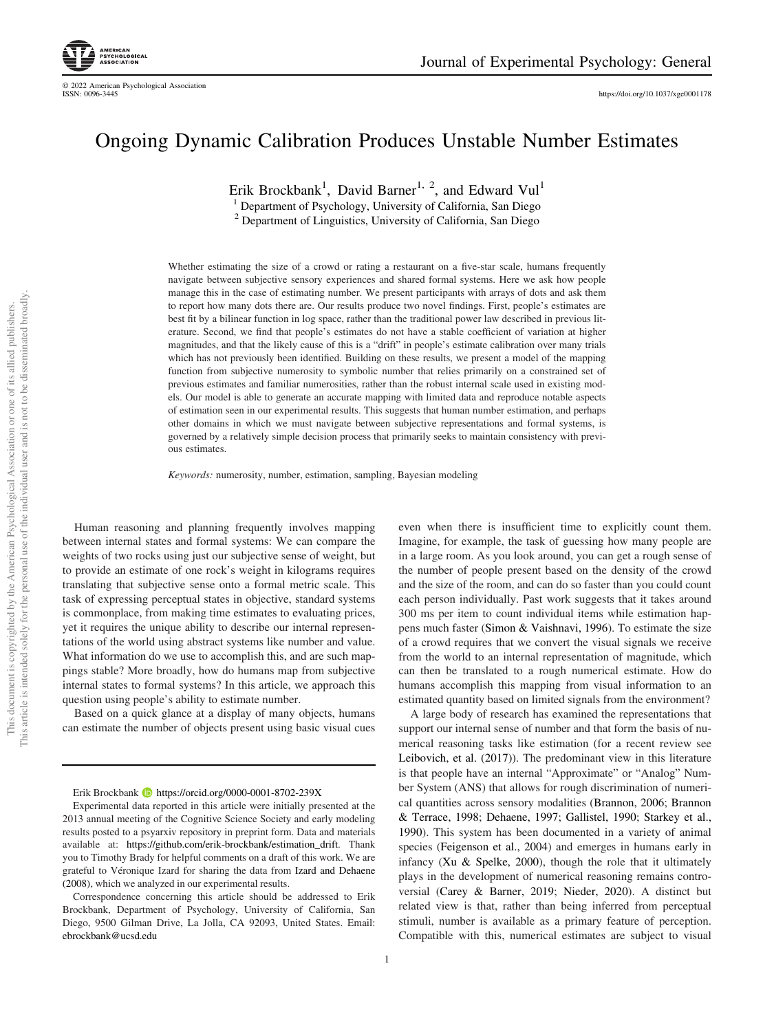<https://doi.org/10.1037/xge0001178>

# Ongoing Dynamic Calibration Produces Unstable Number Estimates

Erik Brockbank<sup>1</sup>, David Barner<sup>1, 2</sup>, and Edward Vul<sup>1</sup>

<sup>1</sup> Department of Psychology, University of California, San Diego

<sup>2</sup> Department of Linguistics, University of California, San Diego

Whether estimating the size of a crowd or rating a restaurant on a five-star scale, humans frequently navigate between subjective sensory experiences and shared formal systems. Here we ask how people manage this in the case of estimating number. We present participants with arrays of dots and ask them to report how many dots there are. Our results produce two novel findings. First, people's estimates are best fit by a bilinear function in log space, rather than the traditional power law described in previous literature. Second, we find that people's estimates do not have a stable coefficient of variation at higher magnitudes, and that the likely cause of this is a "drift" in people's estimate calibration over many trials which has not previously been identified. Building on these results, we present a model of the mapping function from subjective numerosity to symbolic number that relies primarily on a constrained set of previous estimates and familiar numerosities, rather than the robust internal scale used in existing models. Our model is able to generate an accurate mapping with limited data and reproduce notable aspects of estimation seen in our experimental results. This suggests that human number estimation, and perhaps other domains in which we must navigate between subjective representations and formal systems, is governed by a relatively simple decision process that primarily seeks to maintain consistency with previous estimates.

Keywords: numerosity, number, estimation, sampling, Bayesian modeling

Human reasoning and planning frequently involves mapping between internal states and formal systems: We can compare the weights of two rocks using just our subjective sense of weight, but to provide an estimate of one rock's weight in kilograms requires translating that subjective sense onto a formal metric scale. This task of expressing perceptual states in objective, standard systems is commonplace, from making time estimates to evaluating prices, yet it requires the unique ability to describe our internal representations of the world using abstract systems like number and value. What information do we use to accomplish this, and are such mappings stable? More broadly, how do humans map from subjective internal states to formal systems? In this article, we approach this question using people's ability to estimate number.

Based on a quick glance at a display of many objects, humans can estimate the number of objects present using basic visual cues

Erik Brockbank  $\bullet$  <https://orcid.org/0000-0001-8702-239X>

even when there is insufficient time to explicitly count them. Imagine, for example, the task of guessing how many people are in a large room. As you look around, you can get a rough sense of the number of people present based on the density of the crowd and the size of the room, and can do so faster than you could count each person individually. Past work suggests that it takes around 300 ms per item to count individual items while estimation happens much faster [\(Simon & Vaishnavi, 1996\)](#page-21-0). To estimate the size of a crowd requires that we convert the visual signals we receive from the world to an internal representation of magnitude, which can then be translated to a rough numerical estimate. How do humans accomplish this mapping from visual information to an estimated quantity based on limited signals from the environment?

A large body of research has examined the representations that support our internal sense of number and that form the basis of numerical reasoning tasks like estimation (for a recent review see [Leibovich, et al. \(2017\)\)](#page-21-1). The predominant view in this literature is that people have an internal "Approximate" or "Analog" Number System (ANS) that allows for rough discrimination of numerical quantities across sensory modalities ([Brannon, 2006;](#page-20-0) [Brannon](#page-20-1) [& Terrace, 1998](#page-20-1); [Dehaene, 1997](#page-20-2); [Gallistel, 1990](#page-20-3); [Starkey et al.,](#page-21-2) [1990\)](#page-21-2). This system has been documented in a variety of animal species [\(Feigenson et al., 2004](#page-20-4)) and emerges in humans early in infancy ([Xu & Spelke, 2000\)](#page-22-0), though the role that it ultimately plays in the development of numerical reasoning remains controversial ([Carey & Barner, 2019](#page-20-5); [Nieder, 2020\)](#page-21-3). A distinct but related view is that, rather than being inferred from perceptual stimuli, number is available as a primary feature of perception. Compatible with this, numerical estimates are subject to visual

Experimental data reported in this article were initially presented at the 2013 annual meeting of the Cognitive Science Society and early modeling results posted to a psyarxiv repository in preprint form. Data and materials available at: [https://github.com/erik-brockbank/estimation\\_drift](https://github.com/erik-brockbank/estimation_drift). Thank you to Timothy Brady for helpful comments on a draft of this work. We are grateful to Véronique Izard for sharing the data from [Izard and Dehaene](#page-21-4) [\(2008\)](#page-21-4), which we analyzed in our experimental results.

Correspondence concerning this article should be addressed to Erik Brockbank, Department of Psychology, University of California, San Diego, 9500 Gilman Drive, La Jolla, CA 92093, United States. Email: [ebrockbank@ucsd.edu](mailto:ebrockbank@ucsd.edu)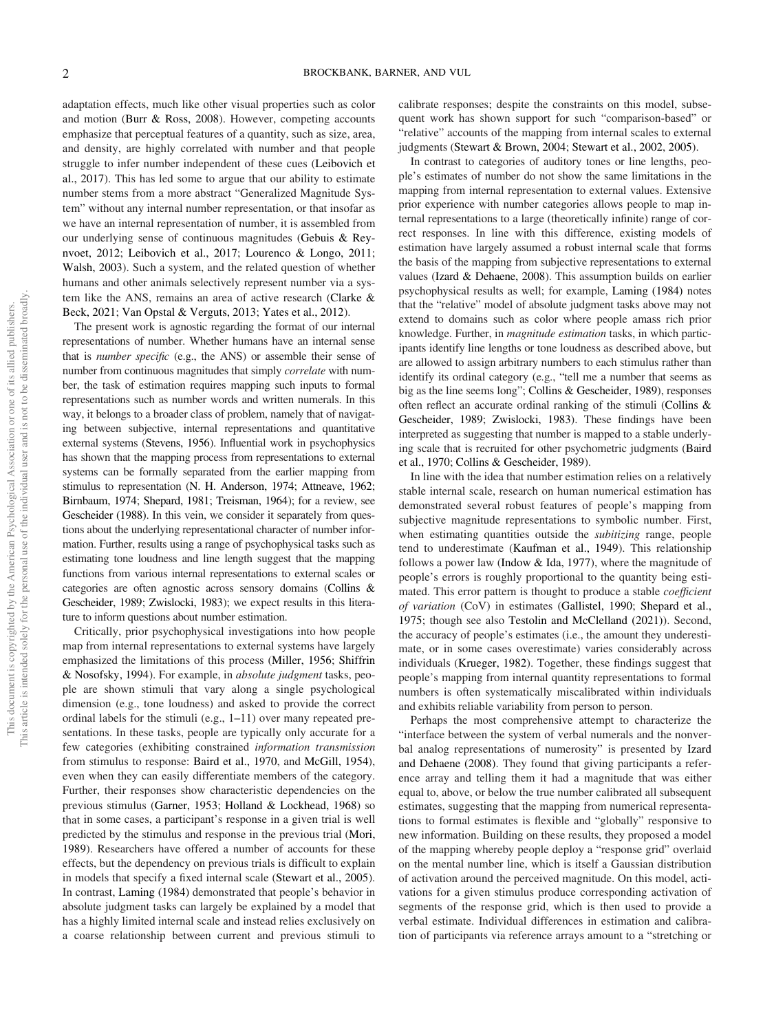adaptation effects, much like other visual properties such as color and motion [\(Burr & Ross, 2008\)](#page-20-6). However, competing accounts emphasize that perceptual features of a quantity, such as size, area, and density, are highly correlated with number and that people struggle to infer number independent of these cues [\(Leibovich et](#page-21-1) [al., 2017\)](#page-21-1). This has led some to argue that our ability to estimate number stems from a more abstract "Generalized Magnitude System" without any internal number representation, or that insofar as we have an internal representation of number, it is assembled from our underlying sense of continuous magnitudes ([Gebuis & Rey](#page-20-7)[nvoet, 2012](#page-20-7); [Leibovich et al., 2017](#page-21-1); [Lourenco & Longo, 2011;](#page-21-5) [Walsh, 2003\)](#page-22-1). Such a system, and the related question of whether humans and other animals selectively represent number via a system like the ANS, remains an area of active research ([Clarke &](#page-20-8) [Beck, 2021;](#page-20-8) [Van Opstal & Verguts, 2013;](#page-21-6) [Yates et al., 2012\)](#page-22-2).

The present work is agnostic regarding the format of our internal representations of number. Whether humans have an internal sense that is number specific (e.g., the ANS) or assemble their sense of number from continuous magnitudes that simply correlate with number, the task of estimation requires mapping such inputs to formal representations such as number words and written numerals. In this way, it belongs to a broader class of problem, namely that of navigating between subjective, internal representations and quantitative external systems ([Stevens, 1956\)](#page-21-7). Influential work in psychophysics has shown that the mapping process from representations to external systems can be formally separated from the earlier mapping from stimulus to representation [\(N. H. Anderson, 1974;](#page-20-9) [Attneave, 1962;](#page-20-10) [Birnbaum, 1974;](#page-20-11) [Shepard, 1981;](#page-21-8) [Treisman, 1964\)](#page-21-9); for a review, see [Gescheider \(1988\)](#page-20-12). In this vein, we consider it separately from questions about the underlying representational character of number information. Further, results using a range of psychophysical tasks such as estimating tone loudness and line length suggest that the mapping functions from various internal representations to external scales or categories are often agnostic across sensory domains ([Collins &](#page-20-13) [Gescheider, 1989](#page-20-13); [Zwislocki, 1983](#page-22-3)); we expect results in this literature to inform questions about number estimation.

Critically, prior psychophysical investigations into how people map from internal representations to external systems have largely emphasized the limitations of this process ([Miller, 1956](#page-21-10); [Shiffrin](#page-21-11) [& Nosofsky, 1994](#page-21-11)). For example, in absolute judgment tasks, people are shown stimuli that vary along a single psychological dimension (e.g., tone loudness) and asked to provide the correct ordinal labels for the stimuli (e.g., 1–11) over many repeated presentations. In these tasks, people are typically only accurate for a few categories (exhibiting constrained information transmission from stimulus to response: [Baird et al., 1970,](#page-20-14) and [McGill, 1954\)](#page-21-12), even when they can easily differentiate members of the category. Further, their responses show characteristic dependencies on the previous stimulus ([Garner, 1953](#page-20-15); [Holland & Lockhead, 1968\)](#page-21-13) so that in some cases, a participant's response in a given trial is well predicted by the stimulus and response in the previous trial ([Mori,](#page-21-14) [1989](#page-21-14)). Researchers have offered a number of accounts for these effects, but the dependency on previous trials is difficult to explain in models that specify a fixed internal scale ([Stewart et al., 2005\)](#page-21-15). In contrast, [Laming \(1984\)](#page-21-16) demonstrated that people's behavior in absolute judgment tasks can largely be explained by a model that has a highly limited internal scale and instead relies exclusively on a coarse relationship between current and previous stimuli to calibrate responses; despite the constraints on this model, subsequent work has shown support for such "comparison-based" or "relative" accounts of the mapping from internal scales to external judgments ([Stewart & Brown, 2004](#page-21-17); [Stewart et al., 2002,](#page-21-18) [2005](#page-21-15)).

In contrast to categories of auditory tones or line lengths, people's estimates of number do not show the same limitations in the mapping from internal representation to external values. Extensive prior experience with number categories allows people to map internal representations to a large (theoretically infinite) range of correct responses. In line with this difference, existing models of estimation have largely assumed a robust internal scale that forms the basis of the mapping from subjective representations to external values [\(Izard & Dehaene, 2008](#page-21-4)). This assumption builds on earlier psychophysical results as well; for example, [Laming \(1984\)](#page-21-16) notes that the "relative" model of absolute judgment tasks above may not extend to domains such as color where people amass rich prior knowledge. Further, in magnitude estimation tasks, in which participants identify line lengths or tone loudness as described above, but are allowed to assign arbitrary numbers to each stimulus rather than identify its ordinal category (e.g., "tell me a number that seems as big as the line seems long"; [Collins & Gescheider, 1989](#page-20-13)), responses often reflect an accurate ordinal ranking of the stimuli [\(Collins &](#page-20-13) [Gescheider, 1989](#page-20-13); [Zwislocki, 1983](#page-22-3)). These findings have been interpreted as suggesting that number is mapped to a stable underlying scale that is recruited for other psychometric judgments [\(Baird](#page-20-14) [et al., 1970](#page-20-14); [Collins & Gescheider, 1989](#page-20-13)).

In line with the idea that number estimation relies on a relatively stable internal scale, research on human numerical estimation has demonstrated several robust features of people's mapping from subjective magnitude representations to symbolic number. First, when estimating quantities outside the *subitizing* range, people tend to underestimate ([Kaufman et al., 1949\)](#page-21-19). This relationship follows a power law ([Indow & Ida, 1977](#page-21-20)), where the magnitude of people's errors is roughly proportional to the quantity being estimated. This error pattern is thought to produce a stable coefficient of variation (CoV) in estimates ([Gallistel, 1990](#page-20-3); [Shepard et al.,](#page-21-21) [1975;](#page-21-21) though see also [Testolin and McClelland \(2021\)\)](#page-21-22). Second, the accuracy of people's estimates (i.e., the amount they underestimate, or in some cases overestimate) varies considerably across individuals ([Krueger, 1982](#page-21-23)). Together, these findings suggest that people's mapping from internal quantity representations to formal numbers is often systematically miscalibrated within individuals and exhibits reliable variability from person to person.

Perhaps the most comprehensive attempt to characterize the "interface between the system of verbal numerals and the nonverbal analog representations of numerosity" is presented by [Izard](#page-21-4) [and Dehaene \(2008\).](#page-21-4) They found that giving participants a reference array and telling them it had a magnitude that was either equal to, above, or below the true number calibrated all subsequent estimates, suggesting that the mapping from numerical representations to formal estimates is flexible and "globally" responsive to new information. Building on these results, they proposed a model of the mapping whereby people deploy a "response grid" overlaid on the mental number line, which is itself a Gaussian distribution of activation around the perceived magnitude. On this model, activations for a given stimulus produce corresponding activation of segments of the response grid, which is then used to provide a verbal estimate. Individual differences in estimation and calibration of participants via reference arrays amount to a "stretching or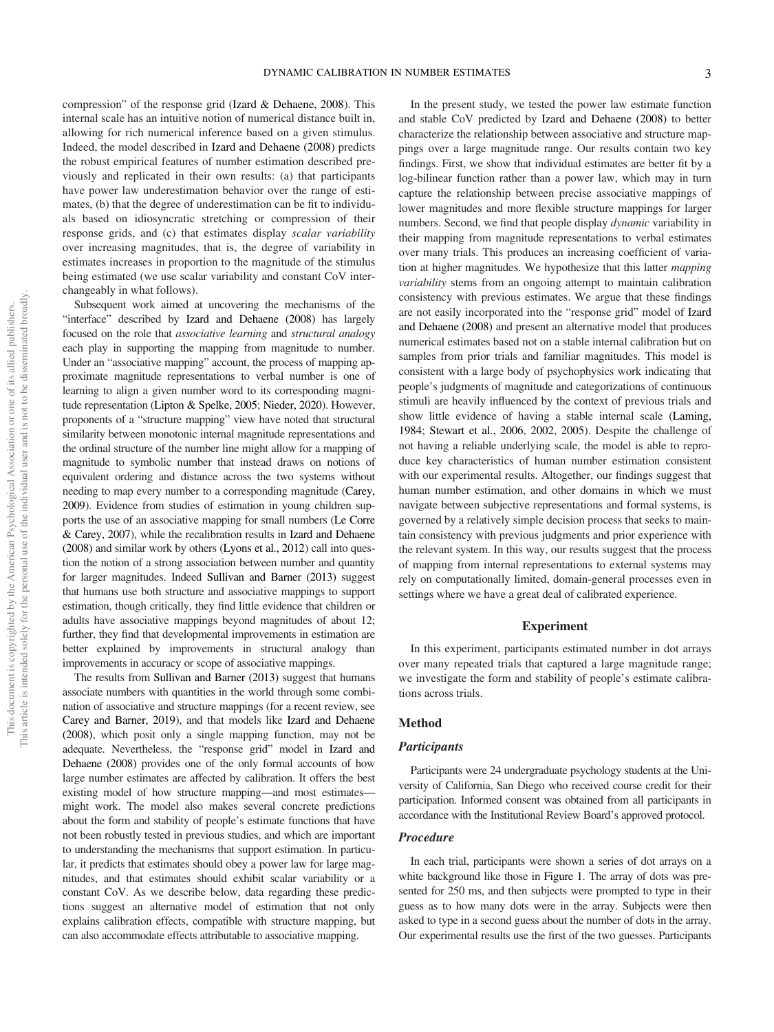compression" of the response grid ([Izard & Dehaene, 2008](#page-21-4)). This internal scale has an intuitive notion of numerical distance built in, allowing for rich numerical inference based on a given stimulus. Indeed, the model described in [Izard and Dehaene \(2008\)](#page-21-4) predicts the robust empirical features of number estimation described previously and replicated in their own results: (a) that participants have power law underestimation behavior over the range of estimates, (b) that the degree of underestimation can be fit to individuals based on idiosyncratic stretching or compression of their response grids, and (c) that estimates display scalar variability over increasing magnitudes, that is, the degree of variability in estimates increases in proportion to the magnitude of the stimulus being estimated (we use scalar variability and constant CoV interchangeably in what follows).

Subsequent work aimed at uncovering the mechanisms of the "interface" described by [Izard and Dehaene \(2008\)](#page-21-4) has largely focused on the role that associative learning and structural analogy each play in supporting the mapping from magnitude to number. Under an "associative mapping" account, the process of mapping approximate magnitude representations to verbal number is one of learning to align a given number word to its corresponding magnitude representation [\(Lipton & Spelke, 2005](#page-21-24); [Nieder, 2020](#page-21-3)). However, proponents of a "structure mapping" view have noted that structural similarity between monotonic internal magnitude representations and the ordinal structure of the number line might allow for a mapping of magnitude to symbolic number that instead draws on notions of equivalent ordering and distance across the two systems without needing to map every number to a corresponding magnitude [\(Carey,](#page-20-16) [2009](#page-20-16)). Evidence from studies of estimation in young children supports the use of an associative mapping for small numbers ([Le Corre](#page-21-25) [& Carey, 2007](#page-21-25)), while the recalibration results in [Izard and Dehaene](#page-21-4) [\(2008\)](#page-21-4) and similar work by others [\(Lyons et al., 2012\)](#page-21-26) call into question the notion of a strong association between number and quantity for larger magnitudes. Indeed [Sullivan and Barner \(2013\)](#page-21-27) suggest that humans use both structure and associative mappings to support estimation, though critically, they find little evidence that children or adults have associative mappings beyond magnitudes of about 12; further, they find that developmental improvements in estimation are better explained by improvements in structural analogy than improvements in accuracy or scope of associative mappings.

The results from [Sullivan and Barner \(2013\)](#page-21-27) suggest that humans associate numbers with quantities in the world through some combination of associative and structure mappings (for a recent review, see [Carey and Barner, 2019\)](#page-20-5), and that models like [Izard and Dehaene](#page-21-4) [\(2008\)](#page-21-4), which posit only a single mapping function, may not be adequate. Nevertheless, the "response grid" model in [Izard and](#page-21-4) [Dehaene \(2008\)](#page-21-4) provides one of the only formal accounts of how large number estimates are affected by calibration. It offers the best existing model of how structure mapping—and most estimates might work. The model also makes several concrete predictions about the form and stability of people's estimate functions that have not been robustly tested in previous studies, and which are important to understanding the mechanisms that support estimation. In particular, it predicts that estimates should obey a power law for large magnitudes, and that estimates should exhibit scalar variability or a constant CoV. As we describe below, data regarding these predictions suggest an alternative model of estimation that not only explains calibration effects, compatible with structure mapping, but can also accommodate effects attributable to associative mapping.

In the present study, we tested the power law estimate function and stable CoV predicted by [Izard and Dehaene \(2008\)](#page-21-4) to better characterize the relationship between associative and structure mappings over a large magnitude range. Our results contain two key findings. First, we show that individual estimates are better fit by a log-bilinear function rather than a power law, which may in turn capture the relationship between precise associative mappings of lower magnitudes and more flexible structure mappings for larger numbers. Second, we find that people display dynamic variability in their mapping from magnitude representations to verbal estimates over many trials. This produces an increasing coefficient of variation at higher magnitudes. We hypothesize that this latter mapping variability stems from an ongoing attempt to maintain calibration consistency with previous estimates. We argue that these findings are not easily incorporated into the "response grid" model of [Izard](#page-21-4) [and Dehaene \(2008\)](#page-21-4) and present an alternative model that produces numerical estimates based not on a stable internal calibration but on samples from prior trials and familiar magnitudes. This model is consistent with a large body of psychophysics work indicating that people's judgments of magnitude and categorizations of continuous stimuli are heavily influenced by the context of previous trials and show little evidence of having a stable internal scale [\(Laming,](#page-21-16) [1984;](#page-21-16) [Stewart et al., 2006,](#page-21-28) [2002](#page-21-18), [2005](#page-21-15)). Despite the challenge of not having a reliable underlying scale, the model is able to reproduce key characteristics of human number estimation consistent with our experimental results. Altogether, our findings suggest that human number estimation, and other domains in which we must navigate between subjective representations and formal systems, is governed by a relatively simple decision process that seeks to maintain consistency with previous judgments and prior experience with the relevant system. In this way, our results suggest that the process of mapping from internal representations to external systems may rely on computationally limited, domain-general processes even in settings where we have a great deal of calibrated experience.

#### Experiment

In this experiment, participants estimated number in dot arrays over many repeated trials that captured a large magnitude range; we investigate the form and stability of people's estimate calibrations across trials.

## Method

#### **Participants**

Participants were 24 undergraduate psychology students at the University of California, San Diego who received course credit for their participation. Informed consent was obtained from all participants in accordance with the Institutional Review Board's approved protocol.

#### Procedure

In each trial, participants were shown a series of dot arrays on a white background like those in [Figure 1](#page-3-0). The array of dots was presented for 250 ms, and then subjects were prompted to type in their guess as to how many dots were in the array. Subjects were then asked to type in a second guess about the number of dots in the array. Our experimental results use the first of the two guesses. Participants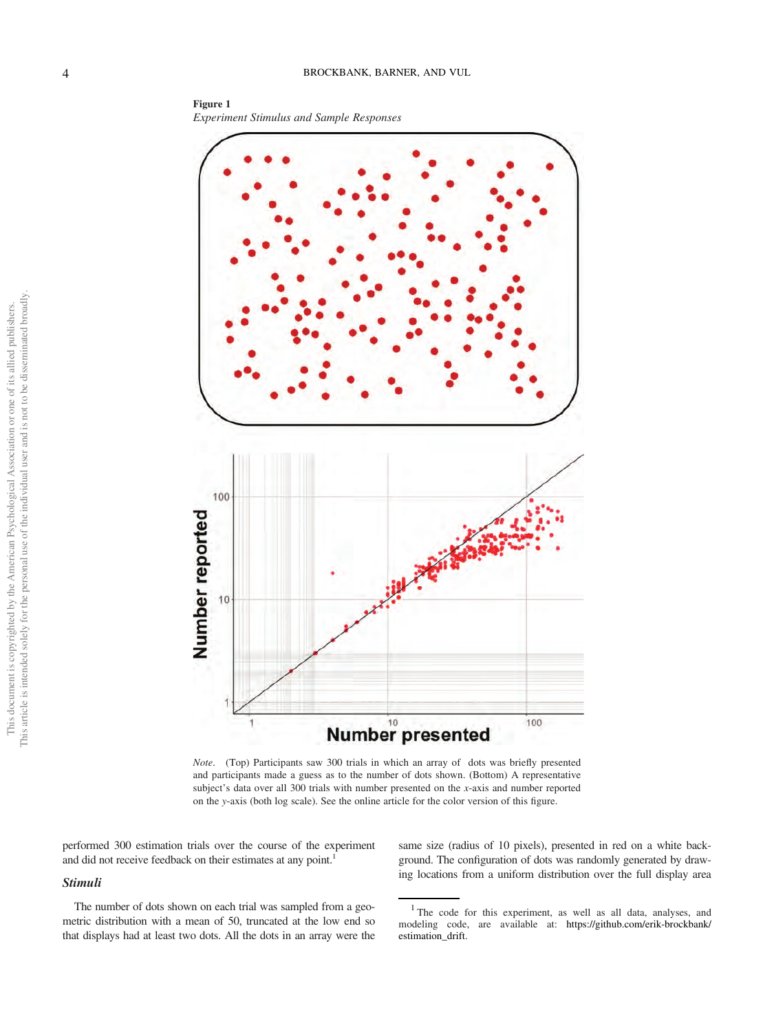<span id="page-3-0"></span>Figure 1 Experiment Stimulus and Sample Responses



Note. (Top) Participants saw 300 trials in which an array of dots was briefly presented and participants made a guess as to the number of dots shown. (Bottom) A representative subject's data over all 300 trials with number presented on the x-axis and number reported on the y-axis (both log scale). See the online article for the color version of this figure.

performed 300 estimation trials over the course of the experiment and did not receive feedback on their estimates at any point.<sup>1</sup>

## Stimuli

The number of dots shown on each trial was sampled from a geometric distribution with a mean of 50, truncated at the low end so that displays had at least two dots. All the dots in an array were the same size (radius of 10 pixels), presented in red on a white background. The configuration of dots was randomly generated by drawing locations from a uniform distribution over the full display area

<span id="page-3-1"></span><sup>1</sup> The code for this experiment, as well as all data, analyses, and modeling code, are available at: [https://github.com/erik-brockbank/](https://github.com/erik-brockbank/estimation_drift) estimation drift.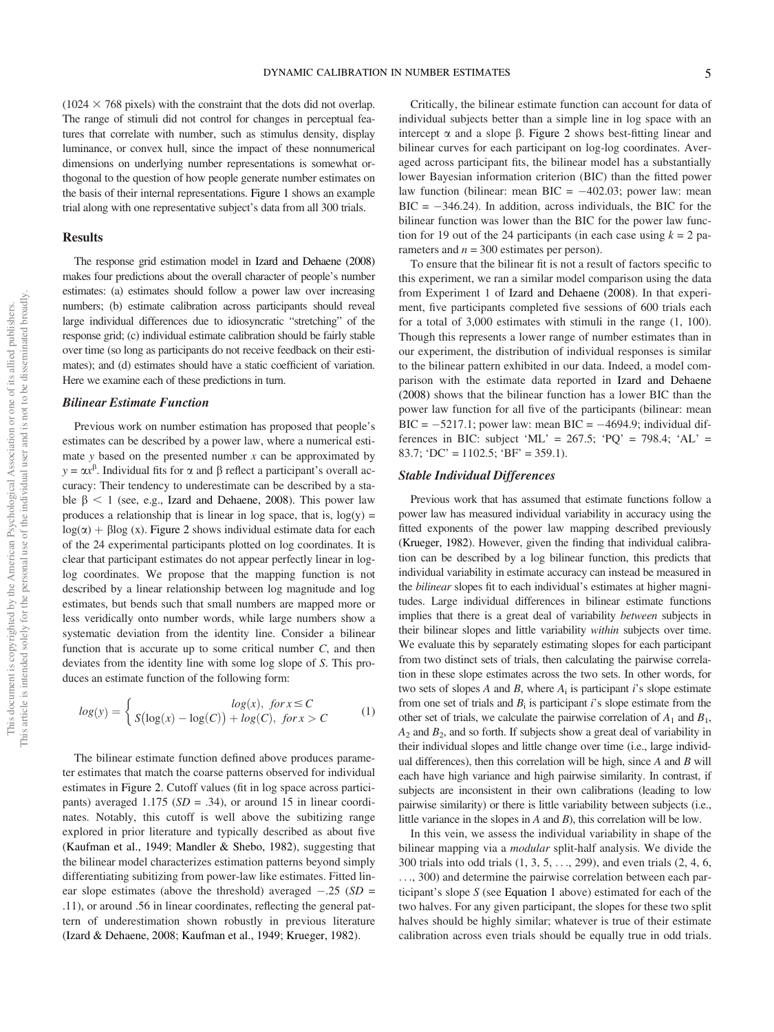$(1024 \times 768 \text{ pixels})$  with the constraint that the dots did not overlap. The range of stimuli did not control for changes in perceptual features that correlate with number, such as stimulus density, display luminance, or convex hull, since the impact of these nonnumerical dimensions on underlying number representations is somewhat orthogonal to the question of how people generate number estimates on the basis of their internal representations. [Figure 1](#page-3-0) shows an example trial along with one representative subject's data from all 300 trials.

## Results

The response grid estimation model in [Izard and Dehaene \(2008\)](#page-21-4) makes four predictions about the overall character of people's number estimates: (a) estimates should follow a power law over increasing numbers; (b) estimate calibration across participants should reveal large individual differences due to idiosyncratic "stretching" of the response grid; (c) individual estimate calibration should be fairly stable over time (so long as participants do not receive feedback on their estimates); and (d) estimates should have a static coefficient of variation. Here we examine each of these predictions in turn.

## Bilinear Estimate Function

Previous work on number estimation has proposed that people's estimates can be described by a power law, where a numerical estimate y based on the presented number  $x$  can be approximated by  $y = \alpha x^{\beta}$ . Individual fits for  $\alpha$  and  $\beta$  reflect a participant's overall accuracy: Their tendency to underestimate can be described by a stable  $\beta$  < 1 (see, e.g., [Izard and Dehaene, 2008](#page-21-4)). This power law produces a relationship that is linear in log space, that is,  $log(y)$  =  $log(\alpha) + \beta log(x)$ . [Figure 2](#page-5-0) shows individual estimate data for each of the 24 experimental participants plotted on log coordinates. It is clear that participant estimates do not appear perfectly linear in loglog coordinates. We propose that the mapping function is not described by a linear relationship between log magnitude and log estimates, but bends such that small numbers are mapped more or less veridically onto number words, while large numbers show a systematic deviation from the identity line. Consider a bilinear function that is accurate up to some critical number  $C$ , and then deviates from the identity line with some log slope of S. This produces an estimate function of the following form:

<span id="page-4-0"></span>
$$
log(y) = \begin{cases} log(x), & \text{for } x \le C \\ S(log(x) - log(C)) + log(C), & \text{for } x > C \end{cases}
$$
 (1)

The bilinear estimate function defined above produces parameter estimates that match the coarse patterns observed for individual estimates in [Figure 2](#page-5-0). Cutoff values (fit in log space across participants) averaged  $1.175$  ( $SD = .34$ ), or around 15 in linear coordinates. Notably, this cutoff is well above the subitizing range explored in prior literature and typically described as about five ([Kaufman et al., 1949](#page-21-19); [Mandler & Shebo, 1982\)](#page-21-29), suggesting that the bilinear model characterizes estimation patterns beyond simply differentiating subitizing from power-law like estimates. Fitted linear slope estimates (above the threshold) averaged  $-.25$  (*SD* = 11) or around 56 in linear coordinates reflecting the general pat .11), or around .56 in linear coordinates, reflecting the general pattern of underestimation shown robustly in previous literature (Izard [& Dehaene, 2008;](#page-21-4) [Kaufman et al., 1949;](#page-21-19) [Krueger, 1982\)](#page-21-23).

Critically, the bilinear estimate function can account for data of individual subjects better than a simple line in log space with an intercept  $\alpha$  and a slope  $\beta$ . [Figure 2](#page-5-0) shows best-fitting linear and bilinear curves for each participant on log-log coordinates. Averaged across participant fits, the bilinear model has a substantially lower Bayesian information criterion (BIC) than the fitted power law function (bilinear: mean  $BIC = -402.03$ ; power law: mean<br> $BIC = -346.24$ ). In addition, across individuals, the BIC for the  $BIC = -346.24$ ). In addition, across individuals, the BIC for the hilipear function was lower than the BIC for the nower law function bilinear function was lower than the BIC for the power law function for 19 out of the 24 participants (in each case using  $k = 2$  parameters and  $n = 300$  estimates per person).

To ensure that the bilinear fit is not a result of factors specific to this experiment, we ran a similar model comparison using the data from Experiment 1 of [Izard and Dehaene \(2008\)](#page-21-4). In that experiment, five participants completed five sessions of 600 trials each for a total of 3,000 estimates with stimuli in the range (1, 100). Though this represents a lower range of number estimates than in our experiment, the distribution of individual responses is similar to the bilinear pattern exhibited in our data. Indeed, a model comparison with the estimate data reported in [Izard and Dehaene](#page-21-4) [\(2008\)](#page-21-4) shows that the bilinear function has a lower BIC than the power law function for all five of the participants (bilinear: mean BIC =  $-5217.1$ ; power law: mean BIC =  $-4694.9$ ; individual dif-<br>ferences in BIC: subject 'MI' =  $267.5$ ; 'PO' =  $708.4$ ; 'AI' = ferences in BIC: subject 'ML' =  $267.5$ ; 'PQ' =  $798.4$ ; 'AL' = 83.7; 'DC' =  $1102.5$ ; 'BF' = 359.1).

## Stable Individual Differences

Previous work that has assumed that estimate functions follow a power law has measured individual variability in accuracy using the fitted exponents of the power law mapping described previously ([Krueger, 1982](#page-21-23)). However, given the finding that individual calibration can be described by a log bilinear function, this predicts that individual variability in estimate accuracy can instead be measured in the bilinear slopes fit to each individual's estimates at higher magnitudes. Large individual differences in bilinear estimate functions implies that there is a great deal of variability between subjects in their bilinear slopes and little variability within subjects over time. We evaluate this by separately estimating slopes for each participant from two distinct sets of trials, then calculating the pairwise correlation in these slope estimates across the two sets. In other words, for two sets of slopes A and B, where  $A_i$  is participant i's slope estimate from one set of trials and  $B_i$  is participant i's slope estimate from the other set of trials, we calculate the pairwise correlation of  $A_1$  and  $B_1$ ,  $A_2$  and  $B_2$ , and so forth. If subjects show a great deal of variability in their individual slopes and little change over time (i.e., large individual differences), then this correlation will be high, since  $A$  and  $B$  will each have high variance and high pairwise similarity. In contrast, if subjects are inconsistent in their own calibrations (leading to low pairwise similarity) or there is little variability between subjects (i.e., little variance in the slopes in  $A$  and  $B$ ), this correlation will be low.

In this vein, we assess the individual variability in shape of the bilinear mapping via a *modular* split-half analysis. We divide the 300 trials into odd trials (1, 3, 5, ..., 299), and even trials (2, 4, 6, ..., 300) and determine the pairwise correlation between each participant's slope S (see [Equation 1](#page-4-0) above) estimated for each of the two halves. For any given participant, the slopes for these two split halves should be highly similar; whatever is true of their estimate calibration across even trials should be equally true in odd trials.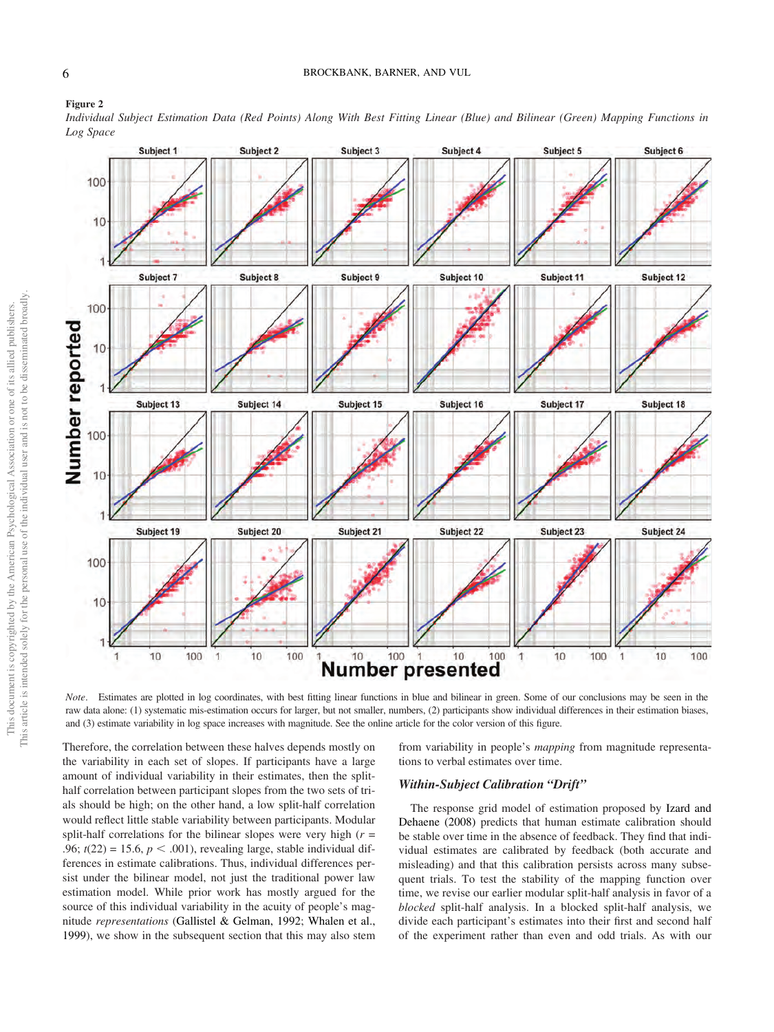

#### <span id="page-5-0"></span>Figure 2

Individual Subject Estimation Data (Red Points) Along With Best Fitting Linear (Blue) and Bilinear (Green) Mapping Functions in Log Space

Note. Estimates are plotted in log coordinates, with best fitting linear functions in blue and bilinear in green. Some of our conclusions may be seen in the raw data alone: (1) systematic mis-estimation occurs for larger, but not smaller, numbers, (2) participants show individual differences in their estimation biases, and (3) estimate variability in log space increases with magnitude. See the online article for the color version of this figure.

100

10

 $\begin{array}{c} \begin{array}{c} \begin{array}{c} \begin{array}{c} \end{array} \end{array} \end{array} \end{array} \end{array}$ 

**Number presented** 

 $10$ 

100

10

Therefore, the correlation between these halves depends mostly on the variability in each set of slopes. If participants have a large amount of individual variability in their estimates, then the splithalf correlation between participant slopes from the two sets of trials should be high; on the other hand, a low split-half correlation would reflect little stable variability between participants. Modular split-half correlations for the bilinear slopes were very high  $(r =$ .96;  $t(22) = 15.6$ ,  $p < .001$ ), revealing large, stable individual differences in estimate calibrations. Thus, individual differences persist under the bilinear model, not just the traditional power law estimation model. While prior work has mostly argued for the source of this individual variability in the acuity of people's magnitude representations [\(Gallistel & Gelman, 1992;](#page-20-17) [Whalen et al.,](#page-22-4) [1999](#page-22-4)), we show in the subsequent section that this may also stem

10

100 1

> from variability in people's *mapping* from magnitude representations to verbal estimates over time.

10

100

1

100

10

## Within-Subject Calibration "Drift"

100

đ,

The response grid model of estimation proposed by [Izard and](#page-21-4) [Dehaene \(2008\)](#page-21-4) predicts that human estimate calibration should be stable over time in the absence of feedback. They find that individual estimates are calibrated by feedback (both accurate and misleading) and that this calibration persists across many subsequent trials. To test the stability of the mapping function over time, we revise our earlier modular split-half analysis in favor of a blocked split-half analysis. In a blocked split-half analysis, we divide each participant's estimates into their first and second half of the experiment rather than even and odd trials. As with our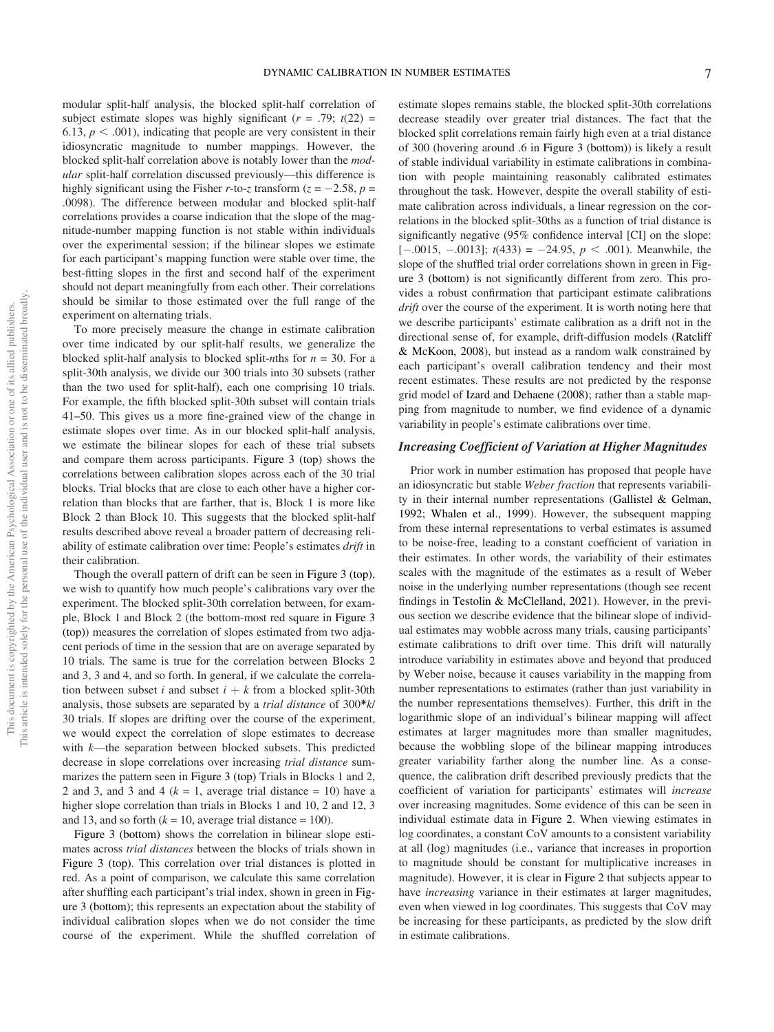modular split-half analysis, the blocked split-half correlation of subject estimate slopes was highly significant  $(r = .79; t(22) =$ 6.13,  $p < .001$ ), indicating that people are very consistent in their idiosyncratic magnitude to number mappings. However, the blocked split-half correlation above is notably lower than the modular split-half correlation discussed previously—this difference is highly significant using the Fisher r-to-z transform  $(z = -2.58, p = 0.008)$ . The difference between modular and blocked split-half .0098). The difference between modular and blocked split-half correlations provides a coarse indication that the slope of the magnitude-number mapping function is not stable within individuals over the experimental session; if the bilinear slopes we estimate for each participant's mapping function were stable over time, the best-fitting slopes in the first and second half of the experiment should not depart meaningfully from each other. Their correlations should be similar to those estimated over the full range of the experiment on alternating trials.

To more precisely measure the change in estimate calibration over time indicated by our split-half results, we generalize the blocked split-half analysis to blocked split-nths for  $n = 30$ . For a split-30th analysis, we divide our 300 trials into 30 subsets (rather than the two used for split-half), each one comprising 10 trials. For example, the fifth blocked split-30th subset will contain trials 41–50. This gives us a more fine-grained view of the change in estimate slopes over time. As in our blocked split-half analysis, we estimate the bilinear slopes for each of these trial subsets and compare them across participants. [Figure 3 \(top\)](#page-7-0) shows the correlations between calibration slopes across each of the 30 trial blocks. Trial blocks that are close to each other have a higher correlation than blocks that are farther, that is, Block 1 is more like Block 2 than Block 10. This suggests that the blocked split-half results described above reveal a broader pattern of decreasing reliability of estimate calibration over time: People's estimates drift in their calibration.

Though the overall pattern of drift can be seen in [Figure 3 \(top\),](#page-7-0) we wish to quantify how much people's calibrations vary over the experiment. The blocked split-30th correlation between, for example, Block 1 and Block 2 (the bottom-most red square in [Figure 3](#page-7-0) [\(top\)](#page-7-0)) measures the correlation of slopes estimated from two adjacent periods of time in the session that are on average separated by 10 trials. The same is true for the correlation between Blocks 2 and 3, 3 and 4, and so forth. In general, if we calculate the correlation between subset i and subset  $i + k$  from a blocked split-30th analysis, those subsets are separated by a trial distance of 300\*k/ 30 trials. If slopes are drifting over the course of the experiment, we would expect the correlation of slope estimates to decrease with k—the separation between blocked subsets. This predicted decrease in slope correlations over increasing trial distance summarizes the pattern seen in [Figure 3 \(top\)](#page-7-0) Trials in Blocks 1 and 2, 2 and 3, and 3 and 4 ( $k = 1$ , average trial distance = 10) have a higher slope correlation than trials in Blocks 1 and 10, 2 and 12, 3 and 13, and so forth  $(k = 10$ , average trial distance = 100).

[Figure 3 \(bottom\)](#page-7-0) shows the correlation in bilinear slope estimates across trial distances between the blocks of trials shown in [Figure 3 \(top\).](#page-7-0) This correlation over trial distances is plotted in red. As a point of comparison, we calculate this same correlation after shuffling each participant's trial index, shown in green in [Fig](#page-7-0)[ure 3 \(bottom\)](#page-7-0); this represents an expectation about the stability of individual calibration slopes when we do not consider the time course of the experiment. While the shuffled correlation of estimate slopes remains stable, the blocked split-30th correlations decrease steadily over greater trial distances. The fact that the blocked split correlations remain fairly high even at a trial distance of 300 (hovering around .6 in [Figure 3 \(bottom\)\)](#page-7-0) is likely a result of stable individual variability in estimate calibrations in combination with people maintaining reasonably calibrated estimates throughout the task. However, despite the overall stability of estimate calibration across individuals, a linear regression on the correlations in the blocked split-30ths as a function of trial distance is significantly negative (95% confidence interval [CI] on the slope:  $[-.0015, -.0013]$ ;  $t(433) = -24.95, p < .001$ ). Meanwhile, the slope of the shuffled trial order correlations shown in green in [Fig](#page-7-0)[ure 3 \(bottom\)](#page-7-0) is not significantly different from zero. This provides a robust confirmation that participant estimate calibrations drift over the course of the experiment. It is worth noting here that we describe participants' estimate calibration as a drift not in the directional sense of, for example, drift-diffusion models ([Ratcliff](#page-21-30) [& McKoon, 2008\)](#page-21-30), but instead as a random walk constrained by each participant's overall calibration tendency and their most recent estimates. These results are not predicted by the response grid model of [Izard and Dehaene \(2008\);](#page-21-4) rather than a stable mapping from magnitude to number, we find evidence of a dynamic variability in people's estimate calibrations over time.

#### Increasing Coefficient of Variation at Higher Magnitudes

Prior work in number estimation has proposed that people have an idiosyncratic but stable Weber fraction that represents variability in their internal number representations ([Gallistel & Gelman,](#page-20-17) [1992](#page-20-17); [Whalen et al., 1999\)](#page-22-4). However, the subsequent mapping from these internal representations to verbal estimates is assumed to be noise-free, leading to a constant coefficient of variation in their estimates. In other words, the variability of their estimates scales with the magnitude of the estimates as a result of Weber noise in the underlying number representations (though see recent findings in [Testolin & McClelland, 2021](#page-21-22)). However, in the previous section we describe evidence that the bilinear slope of individual estimates may wobble across many trials, causing participants' estimate calibrations to drift over time. This drift will naturally introduce variability in estimates above and beyond that produced by Weber noise, because it causes variability in the mapping from number representations to estimates (rather than just variability in the number representations themselves). Further, this drift in the logarithmic slope of an individual's bilinear mapping will affect estimates at larger magnitudes more than smaller magnitudes, because the wobbling slope of the bilinear mapping introduces greater variability farther along the number line. As a consequence, the calibration drift described previously predicts that the coefficient of variation for participants' estimates will increase over increasing magnitudes. Some evidence of this can be seen in individual estimate data in [Figure 2](#page-5-0). When viewing estimates in log coordinates, a constant CoV amounts to a consistent variability at all (log) magnitudes (i.e., variance that increases in proportion to magnitude should be constant for multiplicative increases in magnitude). However, it is clear in [Figure 2](#page-5-0) that subjects appear to have *increasing* variance in their estimates at larger magnitudes, even when viewed in log coordinates. This suggests that CoV may be increasing for these participants, as predicted by the slow drift in estimate calibrations.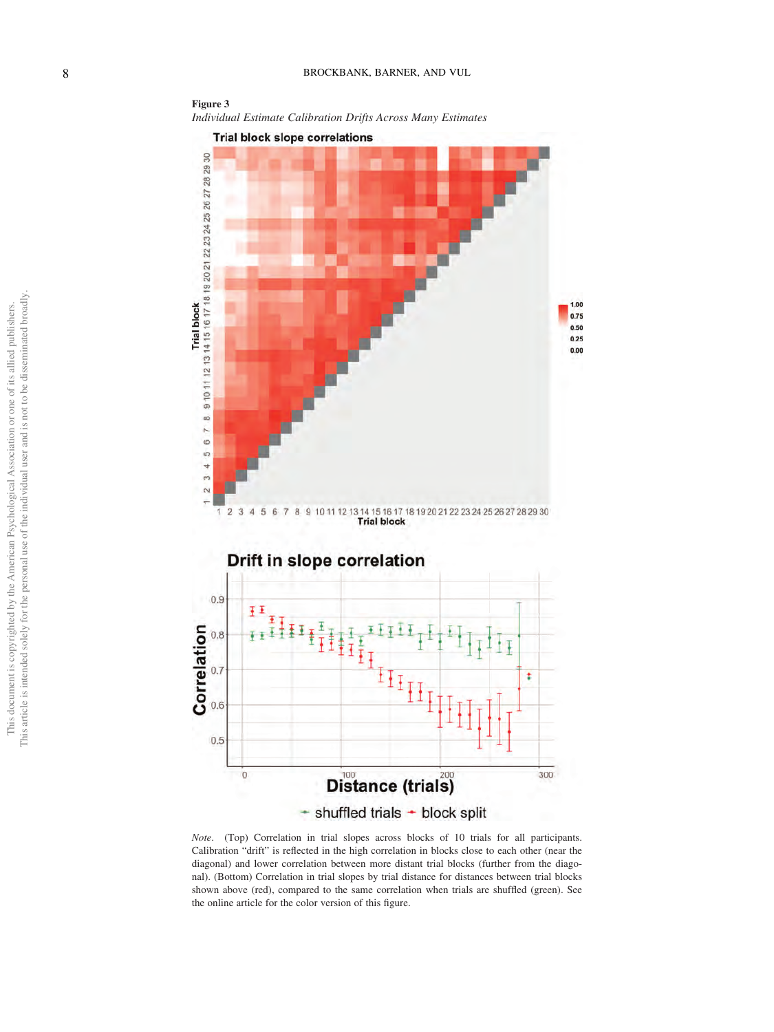<span id="page-7-0"></span>

Note. (Top) Correlation in trial slopes across blocks of 10 trials for all participants. Calibration "drift" is reflected in the high correlation in blocks close to each other (near the diagonal) and lower correlation between more distant trial blocks (further from the diagonal). (Bottom) Correlation in trial slopes by trial distance for distances between trial blocks shown above (red), compared to the same correlation when trials are shuffled (green). See the online article for the color version of this figure.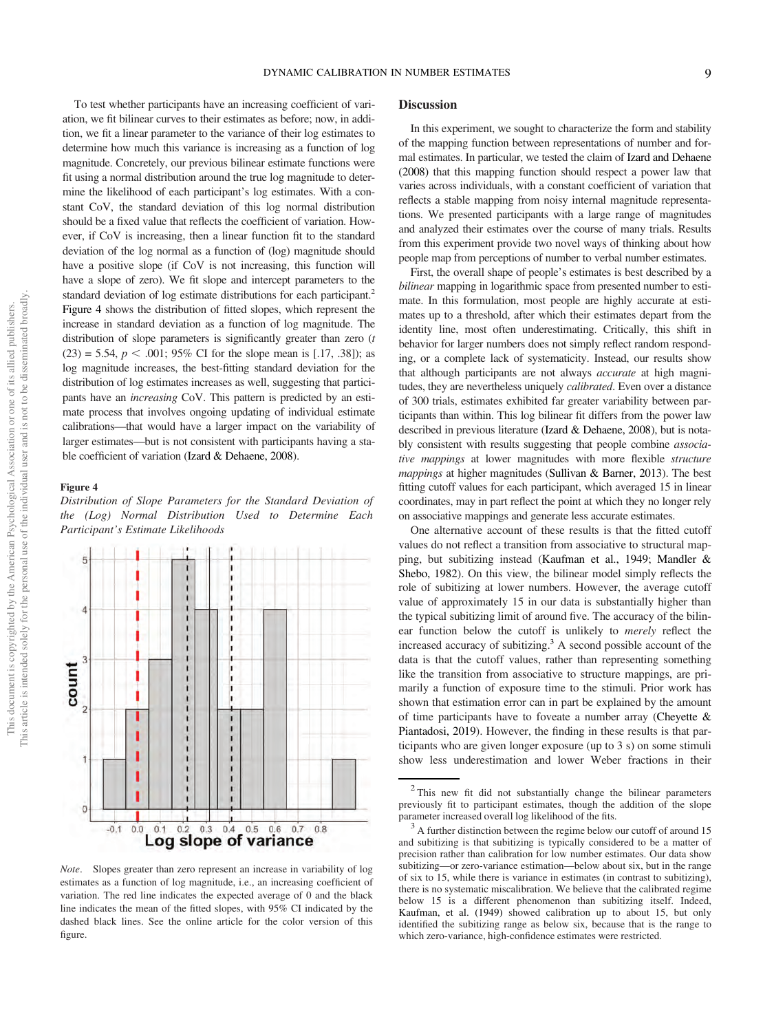To test whether participants have an increasing coefficient of variation, we fit bilinear curves to their estimates as before; now, in addition, we fit a linear parameter to the variance of their log estimates to determine how much this variance is increasing as a function of log magnitude. Concretely, our previous bilinear estimate functions were fit using a normal distribution around the true log magnitude to determine the likelihood of each participant's log estimates. With a constant CoV, the standard deviation of this log normal distribution should be a fixed value that reflects the coefficient of variation. However, if CoV is increasing, then a linear function fit to the standard deviation of the log normal as a function of (log) magnitude should have a positive slope (if CoV is not increasing, this function will have a slope of zero). We fit slope and intercept parameters to the standard deviation of log estimate distributions for each participant.<sup>[2](#page-8-0)</sup> Figure 4 shows the distribution of fitted slopes, which represent the increase in standard deviation as a function of log magnitude. The distribution of slope parameters is significantly greater than zero (*t*  $(23) = 5.54$ ,  $p < .001$ ; 95% CI for the slope mean is [.17, .38]); as log magnitude increases, the best-fitting standard deviation for the distribution of log estimates increases as well, suggesting that participants have an increasing CoV. This pattern is predicted by an estimate process that involves ongoing updating of individual estimate calibrations—that would have a larger impact on the variability of larger estimates—but is not consistent with participants having a stable coefficient of variation [\(Izard & Dehaene, 2008\)](#page-21-4).

#### Figure 4

Distribution of Slope Parameters for the Standard Deviation of the (Log) Normal Distribution Used to Determine Each Participant's Estimate Likelihoods



Note. Slopes greater than zero represent an increase in variability of log estimates as a function of log magnitude, i.e., an increasing coefficient of variation. The red line indicates the expected average of 0 and the black line indicates the mean of the fitted slopes, with 95% CI indicated by the dashed black lines. See the online article for the color version of this figure.

## **Discussion**

In this experiment, we sought to characterize the form and stability of the mapping function between representations of number and formal estimates. In particular, we tested the claim of [Izard and Dehaene](#page-21-4) [\(2008\)](#page-21-4) that this mapping function should respect a power law that varies across individuals, with a constant coefficient of variation that reflects a stable mapping from noisy internal magnitude representations. We presented participants with a large range of magnitudes and analyzed their estimates over the course of many trials. Results from this experiment provide two novel ways of thinking about how people map from perceptions of number to verbal number estimates.

First, the overall shape of people's estimates is best described by a bilinear mapping in logarithmic space from presented number to estimate. In this formulation, most people are highly accurate at estimates up to a threshold, after which their estimates depart from the identity line, most often underestimating. Critically, this shift in behavior for larger numbers does not simply reflect random responding, or a complete lack of systematicity. Instead, our results show that although participants are not always accurate at high magnitudes, they are nevertheless uniquely calibrated. Even over a distance of 300 trials, estimates exhibited far greater variability between participants than within. This log bilinear fit differs from the power law described in previous literature [\(Izard & Dehaene, 2008\)](#page-21-4), but is notably consistent with results suggesting that people combine associative mappings at lower magnitudes with more flexible structure mappings at higher magnitudes [\(Sullivan & Barner, 2013](#page-21-27)). The best fitting cutoff values for each participant, which averaged 15 in linear coordinates, may in part reflect the point at which they no longer rely on associative mappings and generate less accurate estimates.

One alternative account of these results is that the fitted cutoff values do not reflect a transition from associative to structural mapping, but subitizing instead [\(Kaufman et al., 1949](#page-21-19); [Mandler &](#page-21-29) [Shebo, 1982\)](#page-21-29). On this view, the bilinear model simply reflects the role of subitizing at lower numbers. However, the average cutoff value of approximately 15 in our data is substantially higher than the typical subitizing limit of around five. The accuracy of the bilinear function below the cutoff is unlikely to merely reflect the increased accuracy of subitizing.<sup>3</sup> A second possible account of the data is that the cutoff values, rather than representing something like the transition from associative to structure mappings, are primarily a function of exposure time to the stimuli. Prior work has shown that estimation error can in part be explained by the amount of time participants have to foveate a number array [\(Cheyette &](#page-20-18) [Piantadosi, 2019](#page-20-18)). However, the finding in these results is that participants who are given longer exposure (up to 3 s) on some stimuli show less underestimation and lower Weber fractions in their

<span id="page-8-0"></span><sup>&</sup>lt;sup>2</sup> This new fit did not substantially change the bilinear parameters previously fit to participant estimates, though the addition of the slope parameter increased overall log likelihood of the fits.<br><sup>3</sup> A further distinction between the regime below our cutoff of around 15

<span id="page-8-1"></span>and subitizing is that subitizing is typically considered to be a matter of precision rather than calibration for low number estimates. Our data show subitizing—or zero-variance estimation—below about six, but in the range of six to 15, while there is variance in estimates (in contrast to subitizing), there is no systematic miscalibration. We believe that the calibrated regime below 15 is a different phenomenon than subitizing itself. Indeed, [Kaufman, et al. \(1949\)](#page-21-19) showed calibration up to about 15, but only identified the subitizing range as below six, because that is the range to which zero-variance, high-confidence estimates were restricted.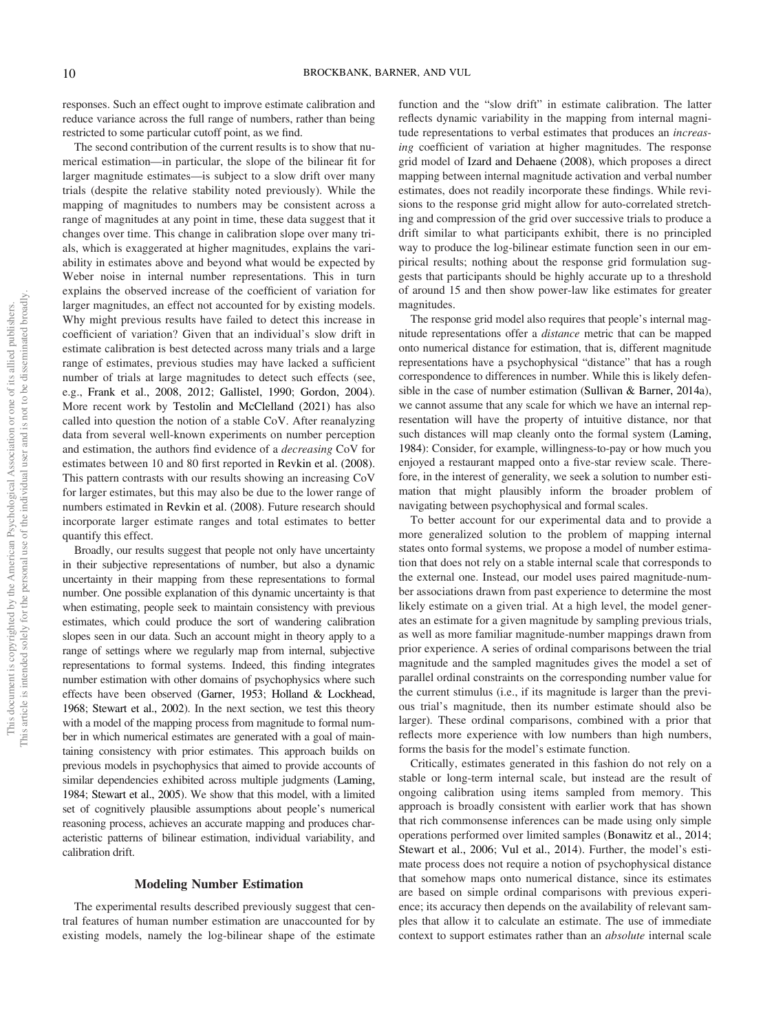responses. Such an effect ought to improve estimate calibration and reduce variance across the full range of numbers, rather than being restricted to some particular cutoff point, as we find.

The second contribution of the current results is to show that numerical estimation—in particular, the slope of the bilinear fit for larger magnitude estimates—is subject to a slow drift over many trials (despite the relative stability noted previously). While the mapping of magnitudes to numbers may be consistent across a range of magnitudes at any point in time, these data suggest that it changes over time. This change in calibration slope over many trials, which is exaggerated at higher magnitudes, explains the variability in estimates above and beyond what would be expected by Weber noise in internal number representations. This in turn explains the observed increase of the coefficient of variation for larger magnitudes, an effect not accounted for by existing models. Why might previous results have failed to detect this increase in coefficient of variation? Given that an individual's slow drift in estimate calibration is best detected across many trials and a large range of estimates, previous studies may have lacked a sufficient number of trials at large magnitudes to detect such effects (see, e.g., [Frank et al., 2008](#page-20-19), [2012;](#page-20-20) [Gallistel, 1990;](#page-20-3) [Gordon, 2004\)](#page-20-21). More recent work by [Testolin and McClelland \(2021\)](#page-21-22) has also called into question the notion of a stable CoV. After reanalyzing data from several well-known experiments on number perception and estimation, the authors find evidence of a decreasing CoV for estimates between 10 and 80 first reported in [Revkin et al. \(2008\).](#page-21-31) This pattern contrasts with our results showing an increasing CoV for larger estimates, but this may also be due to the lower range of numbers estimated in [Revkin et al. \(2008\).](#page-21-31) Future research should incorporate larger estimate ranges and total estimates to better quantify this effect.

Broadly, our results suggest that people not only have uncertainty in their subjective representations of number, but also a dynamic uncertainty in their mapping from these representations to formal number. One possible explanation of this dynamic uncertainty is that when estimating, people seek to maintain consistency with previous estimates, which could produce the sort of wandering calibration slopes seen in our data. Such an account might in theory apply to a range of settings where we regularly map from internal, subjective representations to formal systems. Indeed, this finding integrates number estimation with other domains of psychophysics where such effects have been observed [\(Garner, 1953;](#page-20-15) [Holland & Lockhead,](#page-21-13) [1968](#page-21-13); [Stewart et al., 2002](#page-21-18)). In the next section, we test this theory with a model of the mapping process from magnitude to formal number in which numerical estimates are generated with a goal of maintaining consistency with prior estimates. This approach builds on previous models in psychophysics that aimed to provide accounts of similar dependencies exhibited across multiple judgments ([Laming,](#page-21-16) [1984](#page-21-16); [Stewart et al., 2005\)](#page-21-15). We show that this model, with a limited set of cognitively plausible assumptions about people's numerical reasoning process, achieves an accurate mapping and produces characteristic patterns of bilinear estimation, individual variability, and calibration drift.

#### Modeling Number Estimation

The experimental results described previously suggest that central features of human number estimation are unaccounted for by existing models, namely the log-bilinear shape of the estimate

function and the "slow drift" in estimate calibration. The latter reflects dynamic variability in the mapping from internal magnitude representations to verbal estimates that produces an increasing coefficient of variation at higher magnitudes. The response grid model of [Izard and Dehaene \(2008\)](#page-21-4), which proposes a direct mapping between internal magnitude activation and verbal number estimates, does not readily incorporate these findings. While revisions to the response grid might allow for auto-correlated stretching and compression of the grid over successive trials to produce a drift similar to what participants exhibit, there is no principled way to produce the log-bilinear estimate function seen in our empirical results; nothing about the response grid formulation suggests that participants should be highly accurate up to a threshold of around 15 and then show power-law like estimates for greater magnitudes.

The response grid model also requires that people's internal magnitude representations offer a distance metric that can be mapped onto numerical distance for estimation, that is, different magnitude representations have a psychophysical "distance" that has a rough correspondence to differences in number. While this is likely defensible in the case of number estimation [\(Sullivan & Barner, 2014a\)](#page-21-32), we cannot assume that any scale for which we have an internal representation will have the property of intuitive distance, nor that such distances will map cleanly onto the formal system [\(Laming,](#page-21-16) [1984\)](#page-21-16): Consider, for example, willingness-to-pay or how much you enjoyed a restaurant mapped onto a five-star review scale. Therefore, in the interest of generality, we seek a solution to number estimation that might plausibly inform the broader problem of navigating between psychophysical and formal scales.

To better account for our experimental data and to provide a more generalized solution to the problem of mapping internal states onto formal systems, we propose a model of number estimation that does not rely on a stable internal scale that corresponds to the external one. Instead, our model uses paired magnitude-number associations drawn from past experience to determine the most likely estimate on a given trial. At a high level, the model generates an estimate for a given magnitude by sampling previous trials, as well as more familiar magnitude-number mappings drawn from prior experience. A series of ordinal comparisons between the trial magnitude and the sampled magnitudes gives the model a set of parallel ordinal constraints on the corresponding number value for the current stimulus (i.e., if its magnitude is larger than the previous trial's magnitude, then its number estimate should also be larger). These ordinal comparisons, combined with a prior that reflects more experience with low numbers than high numbers, forms the basis for the model's estimate function.

Critically, estimates generated in this fashion do not rely on a stable or long-term internal scale, but instead are the result of ongoing calibration using items sampled from memory. This approach is broadly consistent with earlier work that has shown that rich commonsense inferences can be made using only simple operations performed over limited samples [\(Bonawitz et al., 2014](#page-20-22); [Stewart et al., 2006;](#page-21-28) [Vul et al., 2014\)](#page-21-33). Further, the model's estimate process does not require a notion of psychophysical distance that somehow maps onto numerical distance, since its estimates are based on simple ordinal comparisons with previous experience; its accuracy then depends on the availability of relevant samples that allow it to calculate an estimate. The use of immediate context to support estimates rather than an absolute internal scale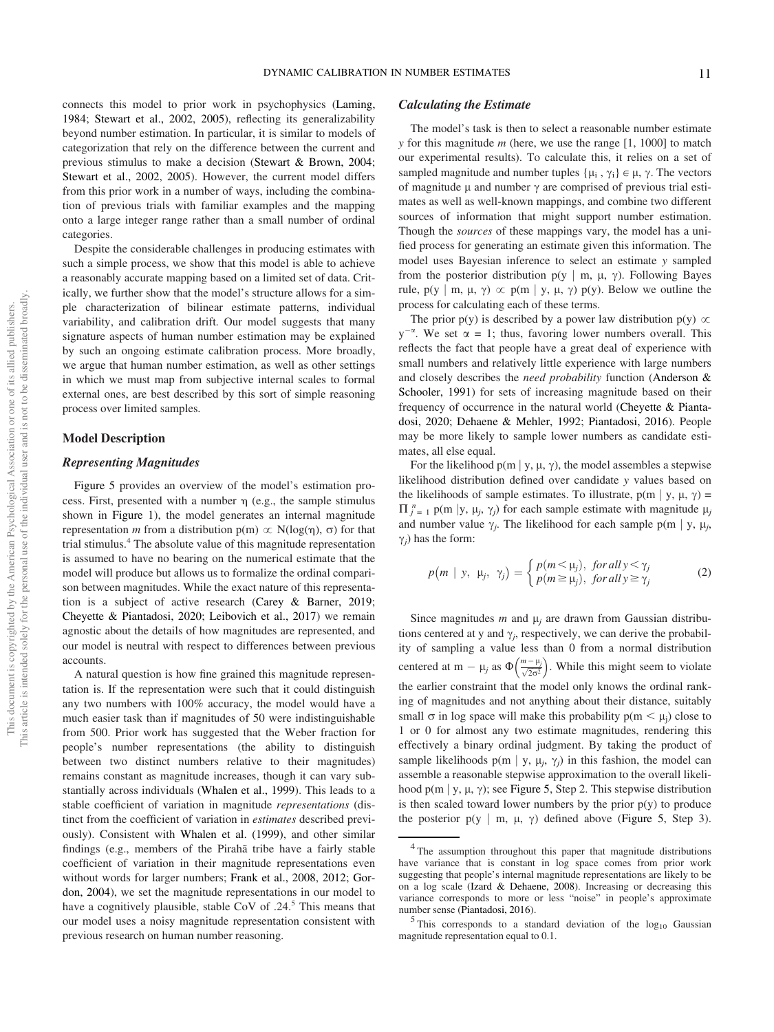connects this model to prior work in psychophysics ([Laming,](#page-21-16) [1984](#page-21-16); [Stewart et al., 2002,](#page-21-18) [2005](#page-21-15)), reflecting its generalizability beyond number estimation. In particular, it is similar to models of categorization that rely on the difference between the current and previous stimulus to make a decision [\(Stewart & Brown, 2004;](#page-21-17) [Stewart et al., 2002](#page-21-18), [2005](#page-21-15)). However, the current model differs from this prior work in a number of ways, including the combination of previous trials with familiar examples and the mapping onto a large integer range rather than a small number of ordinal categories.

Despite the considerable challenges in producing estimates with such a simple process, we show that this model is able to achieve a reasonably accurate mapping based on a limited set of data. Critically, we further show that the model's structure allows for a simple characterization of bilinear estimate patterns, individual variability, and calibration drift. Our model suggests that many signature aspects of human number estimation may be explained by such an ongoing estimate calibration process. More broadly, we argue that human number estimation, as well as other settings in which we must map from subjective internal scales to formal external ones, are best described by this sort of simple reasoning process over limited samples.

#### Model Description

#### Representing Magnitudes

[Figure 5](#page-11-0) provides an overview of the model's estimation process. First, presented with a number  $\eta$  (e.g., the sample stimulus shown in [Figure 1](#page-3-0)), the model generates an internal magnitude representation m from a distribution  $p(m) \propto N(\log(n), \sigma)$  for that trial stimulus[.4](#page-10-0) The absolute value of this magnitude representation is assumed to have no bearing on the numerical estimate that the model will produce but allows us to formalize the ordinal comparison between magnitudes. While the exact nature of this representation is a subject of active research [\(Carey & Barner, 2019;](#page-20-5) [Cheyette & Piantadosi, 2020;](#page-20-23) [Leibovich et al., 2017\)](#page-21-1) we remain agnostic about the details of how magnitudes are represented, and our model is neutral with respect to differences between previous accounts.

A natural question is how fine grained this magnitude representation is. If the representation were such that it could distinguish any two numbers with 100% accuracy, the model would have a much easier task than if magnitudes of 50 were indistinguishable from 500. Prior work has suggested that the Weber fraction for people's number representations (the ability to distinguish between two distinct numbers relative to their magnitudes) remains constant as magnitude increases, though it can vary substantially across individuals [\(Whalen et al., 1999](#page-22-4)). This leads to a stable coefficient of variation in magnitude representations (distinct from the coefficient of variation in estimates described previously). Consistent with [Whalen et al. \(1999\)](#page-22-4), and other similar findings (e.g., members of the Pirahã tribe have a fairly stable coefficient of variation in their magnitude representations even without words for larger numbers; [Frank et al., 2008](#page-20-19), [2012;](#page-20-20) [Gor](#page-20-21)[don, 2004\)](#page-20-21), we set the magnitude representations in our model to have a cognitively plausible, stable CoV of .24.<sup>[5](#page-10-1)</sup> This means that our model uses a noisy magnitude representation consistent with previous research on human number reasoning.

## Calculating the Estimate

The model's task is then to select a reasonable number estimate y for this magnitude  $m$  (here, we use the range  $[1, 1000]$  to match our experimental results). To calculate this, it relies on a set of sampled magnitude and number tuples  $\{\mu_i, \gamma_i\} \in \mu$ ,  $\gamma$ . The vectors of magnitude  $\mu$  and number  $\gamma$  are comprised of previous trial estimates as well as well-known mappings, and combine two different sources of information that might support number estimation. Though the *sources* of these mappings vary, the model has a unified process for generating an estimate given this information. The model uses Bayesian inference to select an estimate y sampled from the posterior distribution  $p(y \mid m, \mu, \gamma)$ . Following Bayes rule,  $p(y \mid m, \mu, \gamma) \propto p(m \mid y, \mu, \gamma) p(y)$ . Below we outline the process for calculating each of these terms.

The prior  $p(y)$  is described by a power law distribution  $p(y) \propto$  $y^{-\alpha}$ . We set  $\alpha = 1$ ; thus, favoring lower numbers overall. This reflects the fact that people have a great deal of experience with small numbers and relatively little experience with large numbers and closely describes the need probability function ([Anderson &](#page-20-24) [Schooler, 1991\)](#page-20-24) for sets of increasing magnitude based on their frequency of occurrence in the natural world ([Cheyette & Pianta](#page-20-23)[dosi, 2020;](#page-20-23) [Dehaene & Mehler, 1992;](#page-20-25) [Piantadosi, 2016\)](#page-21-34). People may be more likely to sample lower numbers as candidate estimates, all else equal.

For the likelihood  $p(m | y, \mu, \gamma)$ , the model assembles a stepwise likelihood distribution defined over candidate y values based on the likelihoods of sample estimates. To illustrate,  $p(m | y, \mu, \gamma)$  =  $\Pi_{j=1}^{n}$  p(m |y,  $\mu_j$ ,  $\gamma_j$ ) for each sample estimate with magnitude  $\mu_j$ <br>and number value  $\chi_j$ . The likelihood for each sample p(m | y,  $\mu_j$ and number value  $\gamma_j$ . The likelihood for each sample p(m | y,  $\mu_j$ ,  $\gamma_i$ ) has the form:

$$
p(m \mid y, \mu_j, \gamma_j) = \begin{cases} p(m < \mu_j), & \text{for all } y < \gamma_j \\ p(m \ge \mu_j), & \text{for all } y \ge \gamma_j \end{cases}
$$
 (2)

Since magnitudes m and  $\mu_i$  are drawn from Gaussian distributions centered at y and  $\gamma_i$ , respectively, we can derive the probability of sampling a value less than 0 from a normal distribution centered at m –  $\mu_j$  as  $\Phi\left(\frac{m-\mu_j}{\sqrt{2\sigma^2}}\right)$  $\left(\frac{m-\mu_j}{\sqrt{2\sigma^2}}\right)$ . While this might seem to violate the earlier constraint that the model only knows the ordinal ranking of magnitudes and not anything about their distance, suitably small  $\sigma$  in log space will make this probability  $p(m < \mu_j)$  close to 1 or 0 for almost any two estimate magnitudes, rendering this effectively a binary ordinal judgment. By taking the product of sample likelihoods p(m | y,  $\mu_i$ ,  $\gamma_i$ ) in this fashion, the model can assemble a reasonable stepwise approximation to the overall likelihood p(m | y,  $\mu$ ,  $\gamma$ ); see [Figure 5,](#page-11-0) Step 2. This stepwise distribution is then scaled toward lower numbers by the prior  $p(y)$  to produce the posterior  $p(y \mid m, \mu, \gamma)$  defined above [\(Figure 5](#page-11-0), Step 3).

<span id="page-10-0"></span><sup>&</sup>lt;sup>4</sup> The assumption throughout this paper that magnitude distributions have variance that is constant in log space comes from prior work suggesting that people's internal magnitude representations are likely to be on a log scale [\(Izard & Dehaene, 2008\)](#page-21-4). Increasing or decreasing this variance corresponds to more or less "noise" in people's approximate

<span id="page-10-1"></span>number sense ([Piantadosi, 2016\)](#page-21-34). <sup>5</sup> This corresponds to a standard deviation of the log<sub>10</sub> Gaussian magnitude representation equal to 0.1.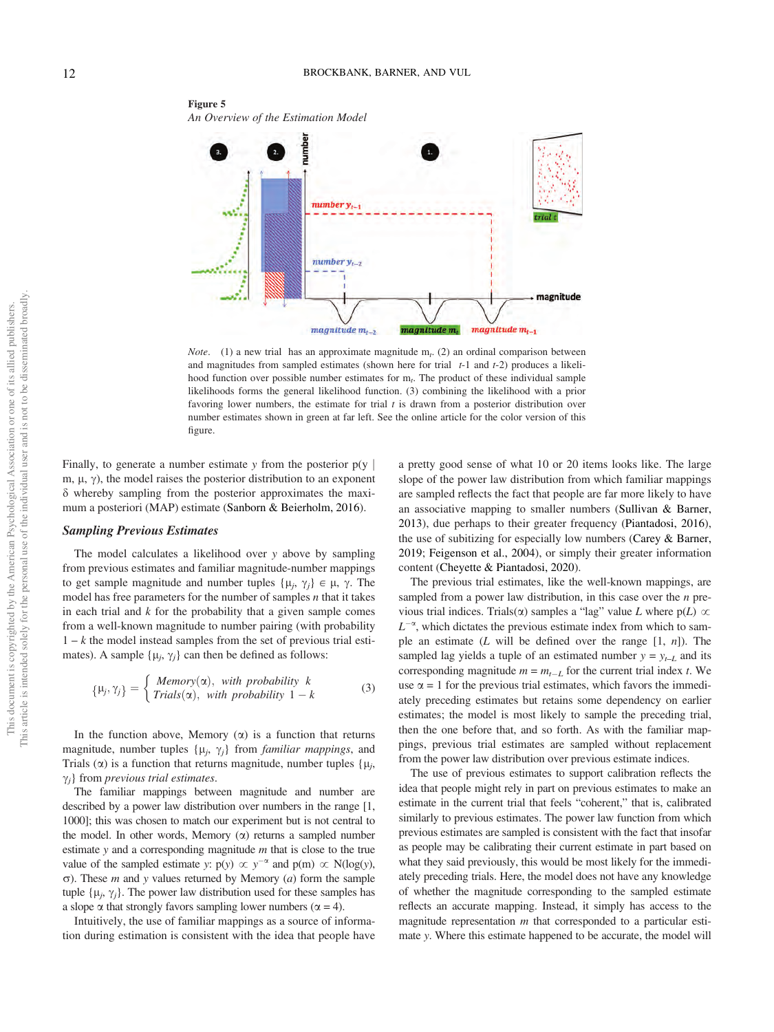<span id="page-11-0"></span>

*Note.* (1) a new trial has an approximate magnitude  $m_t$ . (2) an ordinal comparison between and magnitudes from sampled estimates (shown here for trial  $t-1$  and  $t-2$ ) produces a likelihood function over possible number estimates for  $m_t$ . The product of these individual sample likelihoods forms the general likelihood function. (3) combining the likelihood with a prior favoring lower numbers, the estimate for trial  $t$  is drawn from a posterior distribution over number estimates shown in green at far left. See the online article for the color version of this figure.

Finally, to generate a number estimate y from the posterior  $p(y)$ m,  $\mu$ ,  $\gamma$ ), the model raises the posterior distribution to an exponent  $\delta$  whereby sampling from the posterior approximates the maximum a posteriori (MAP) estimate [\(Sanborn & Beierholm, 2016\)](#page-21-35).

## Sampling Previous Estimates

The model calculates a likelihood over  $y$  above by sampling from previous estimates and familiar magnitude-number mappings to get sample magnitude and number tuples  $\{\mu_i, \gamma_i\} \in \mu, \gamma$ . The model has free parameters for the number of samples  $n$  that it takes in each trial and  $k$  for the probability that a given sample comes from a well-known magnitude to number pairing (with probability  $1 - k$  the model instead samples from the set of previous trial estimates). A sample  $\{\mu_i, \gamma_i\}$  can then be defined as follows:

$$
\{\mu_j, \gamma_j\} = \begin{cases} \text{Memory}(\alpha), & \text{with probability } k \\ \text{Trials}(\alpha), & \text{with probability } 1 - k \end{cases} \tag{3}
$$

In the function above, Memory  $(\alpha)$  is a function that returns magnitude, number tuples  $\{\mu_i, \gamma_i\}$  from *familiar mappings*, and Trials ( $\alpha$ ) is a function that returns magnitude, number tuples { $\mu_i$ ,  $\gamma_i$ } from *previous trial estimates*.

The familiar mappings between magnitude and number are described by a power law distribution over numbers in the range [1, 1000]; this was chosen to match our experiment but is not central to the model. In other words, Memory  $(\alpha)$  returns a sampled number estimate  $y$  and a corresponding magnitude  $m$  that is close to the true value of the sampled estimate y:  $p(y) \propto y^{-\alpha}$  and  $p(m) \propto N(\log(y))$ ,  $\sigma$ ). These *m* and *y* values returned by Memory (*a*) form the sample tuple  $\{\mu_i, \gamma_i\}$ . The power law distribution used for these samples has a slope  $\alpha$  that strongly favors sampling lower numbers ( $\alpha = 4$ ).

Intuitively, the use of familiar mappings as a source of information during estimation is consistent with the idea that people have

a pretty good sense of what 10 or 20 items looks like. The large slope of the power law distribution from which familiar mappings are sampled reflects the fact that people are far more likely to have an associative mapping to smaller numbers ([Sullivan & Barner,](#page-21-27) [2013\)](#page-21-27), due perhaps to their greater frequency ([Piantadosi, 2016\)](#page-21-34), the use of subitizing for especially low numbers ([Carey & Barner,](#page-20-5) [2019;](#page-20-5) [Feigenson et al., 2004\)](#page-20-4), or simply their greater information content ([Cheyette & Piantadosi, 2020\)](#page-20-23).

The previous trial estimates, like the well-known mappings, are sampled from a power law distribution, in this case over the  $n$  previous trial indices. Trials( $\alpha$ ) samples a "lag" value L where  $p(L)$   $\infty$  $L^{-\alpha}$ , which dictates the previous estimate index from which to sample an estimate (L will be defined over the range  $[1, n]$ ). The sampled lag yields a tuple of an estimated number  $y = y_{t-L}$  and its corresponding magnitude  $m = m_{t-L}$  for the current trial index t. We use  $\alpha = 1$  for the previous trial estimates, which favors the immediately preceding estimates but retains some dependency on earlier estimates; the model is most likely to sample the preceding trial, then the one before that, and so forth. As with the familiar mappings, previous trial estimates are sampled without replacement from the power law distribution over previous estimate indices.

The use of previous estimates to support calibration reflects the idea that people might rely in part on previous estimates to make an estimate in the current trial that feels "coherent," that is, calibrated similarly to previous estimates. The power law function from which previous estimates are sampled is consistent with the fact that insofar as people may be calibrating their current estimate in part based on what they said previously, this would be most likely for the immediately preceding trials. Here, the model does not have any knowledge of whether the magnitude corresponding to the sampled estimate reflects an accurate mapping. Instead, it simply has access to the magnitude representation  $m$  that corresponded to a particular estimate y. Where this estimate happened to be accurate, the model will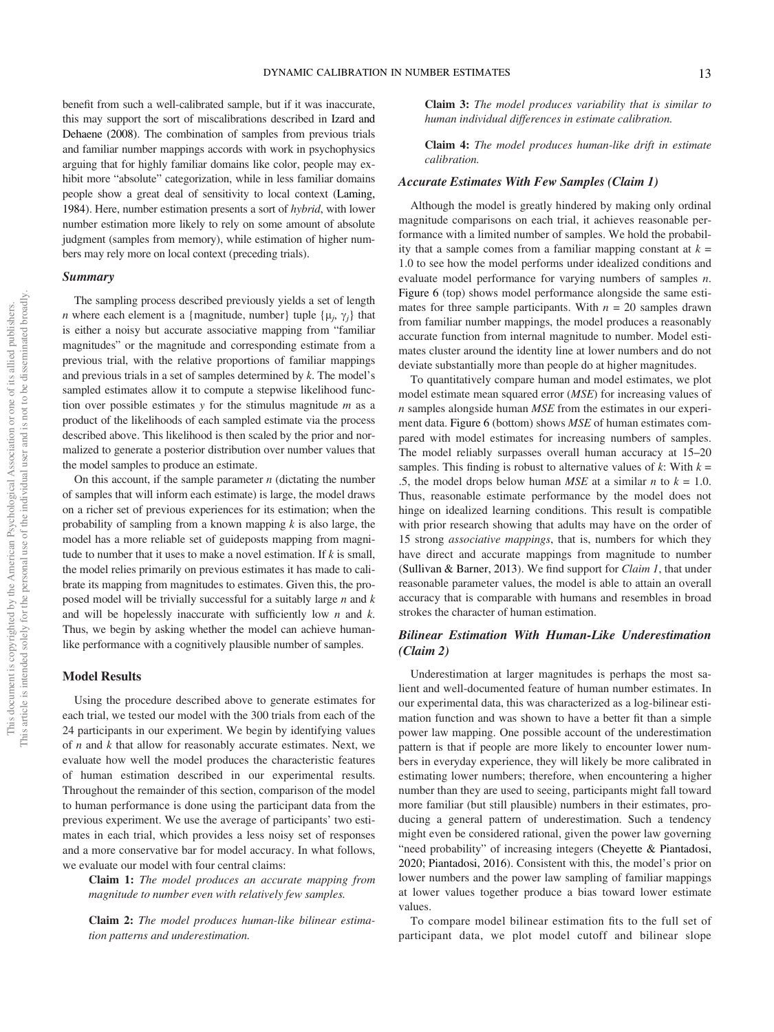benefit from such a well-calibrated sample, but if it was inaccurate, this may support the sort of miscalibrations described in [Izard and](#page-21-4) [Dehaene \(2008\)](#page-21-4). The combination of samples from previous trials and familiar number mappings accords with work in psychophysics arguing that for highly familiar domains like color, people may exhibit more "absolute" categorization, while in less familiar domains people show a great deal of sensitivity to local context ([Laming,](#page-21-16) [1984\)](#page-21-16). Here, number estimation presents a sort of hybrid, with lower number estimation more likely to rely on some amount of absolute judgment (samples from memory), while estimation of higher numbers may rely more on local context (preceding trials).

## Summary

The sampling process described previously yields a set of length *n* where each element is a {magnitude, number} tuple { $\mu_i$ ,  $\gamma_i$ } that is either a noisy but accurate associative mapping from "familiar magnitudes" or the magnitude and corresponding estimate from a previous trial, with the relative proportions of familiar mappings and previous trials in a set of samples determined by  $k$ . The model's sampled estimates allow it to compute a stepwise likelihood function over possible estimates  $y$  for the stimulus magnitude  $m$  as a product of the likelihoods of each sampled estimate via the process described above. This likelihood is then scaled by the prior and normalized to generate a posterior distribution over number values that the model samples to produce an estimate.

On this account, if the sample parameter  $n$  (dictating the number of samples that will inform each estimate) is large, the model draws on a richer set of previous experiences for its estimation; when the probability of sampling from a known mapping  $k$  is also large, the model has a more reliable set of guideposts mapping from magnitude to number that it uses to make a novel estimation. If  $k$  is small, the model relies primarily on previous estimates it has made to calibrate its mapping from magnitudes to estimates. Given this, the proposed model will be trivially successful for a suitably large  $n$  and  $k$ and will be hopelessly inaccurate with sufficiently low  $n$  and  $k$ . Thus, we begin by asking whether the model can achieve humanlike performance with a cognitively plausible number of samples.

#### Model Results

Using the procedure described above to generate estimates for each trial, we tested our model with the 300 trials from each of the 24 participants in our experiment. We begin by identifying values of  $n$  and  $k$  that allow for reasonably accurate estimates. Next, we evaluate how well the model produces the characteristic features of human estimation described in our experimental results. Throughout the remainder of this section, comparison of the model to human performance is done using the participant data from the previous experiment. We use the average of participants' two estimates in each trial, which provides a less noisy set of responses and a more conservative bar for model accuracy. In what follows, we evaluate our model with four central claims:

Claim 1: The model produces an accurate mapping from magnitude to number even with relatively few samples.

Claim 2: The model produces human-like bilinear estimation patterns and underestimation.

Claim 3: The model produces variability that is similar to human individual differences in estimate calibration.

Claim 4: The model produces human-like drift in estimate calibration.

## Accurate Estimates With Few Samples (Claim 1)

Although the model is greatly hindered by making only ordinal magnitude comparisons on each trial, it achieves reasonable performance with a limited number of samples. We hold the probability that a sample comes from a familiar mapping constant at  $k =$ 1.0 to see how the model performs under idealized conditions and evaluate model performance for varying numbers of samples n. [Figure 6](#page-13-0) (top) shows model performance alongside the same estimates for three sample participants. With  $n = 20$  samples drawn from familiar number mappings, the model produces a reasonably accurate function from internal magnitude to number. Model estimates cluster around the identity line at lower numbers and do not deviate substantially more than people do at higher magnitudes.

To quantitatively compare human and model estimates, we plot model estimate mean squared error (MSE) for increasing values of  $n$  samples alongside human  $MSE$  from the estimates in our experiment data. [Figure 6](#page-13-0) (bottom) shows MSE of human estimates compared with model estimates for increasing numbers of samples. The model reliably surpasses overall human accuracy at 15–20 samples. This finding is robust to alternative values of  $k$ : With  $k =$ .5, the model drops below human *MSE* at a similar *n* to  $k = 1.0$ . Thus, reasonable estimate performance by the model does not hinge on idealized learning conditions. This result is compatible with prior research showing that adults may have on the order of 15 strong associative mappings, that is, numbers for which they have direct and accurate mappings from magnitude to number ([Sullivan & Barner, 2013](#page-21-27)). We find support for Claim 1, that under reasonable parameter values, the model is able to attain an overall accuracy that is comparable with humans and resembles in broad strokes the character of human estimation.

## Bilinear Estimation With Human-Like Underestimation (Claim 2)

Underestimation at larger magnitudes is perhaps the most salient and well-documented feature of human number estimates. In our experimental data, this was characterized as a log-bilinear estimation function and was shown to have a better fit than a simple power law mapping. One possible account of the underestimation pattern is that if people are more likely to encounter lower numbers in everyday experience, they will likely be more calibrated in estimating lower numbers; therefore, when encountering a higher number than they are used to seeing, participants might fall toward more familiar (but still plausible) numbers in their estimates, producing a general pattern of underestimation. Such a tendency might even be considered rational, given the power law governing "need probability" of increasing integers [\(Cheyette & Piantadosi,](#page-20-23) [2020;](#page-20-23) [Piantadosi, 2016\)](#page-21-34). Consistent with this, the model's prior on lower numbers and the power law sampling of familiar mappings at lower values together produce a bias toward lower estimate values.

To compare model bilinear estimation fits to the full set of participant data, we plot model cutoff and bilinear slope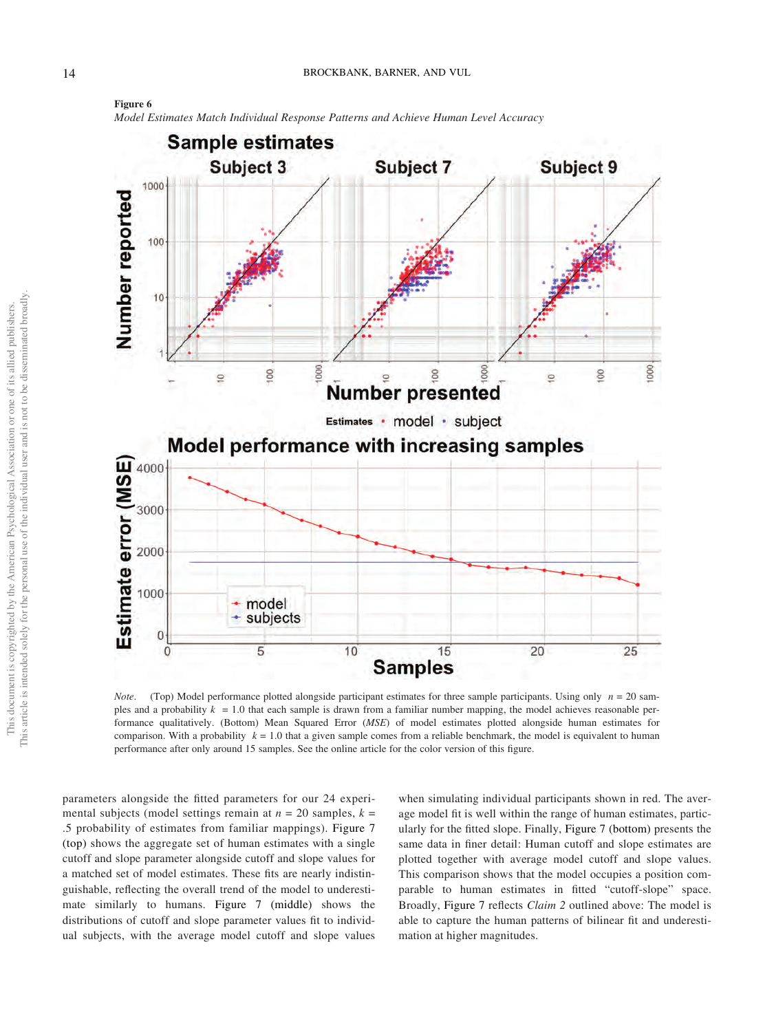Model Estimates Match Individual Response Patterns and Achieve Human Level Accuracy



*Note.* (Top) Model performance plotted alongside participant estimates for three sample participants. Using only  $n = 20$  samples and a probability  $k = 1.0$  that each sample is drawn from a familiar number mapping, the model achieves reasonable performance qualitatively. (Bottom) Mean Squared Error (MSE) of model estimates plotted alongside human estimates for comparison. With a probability  $k = 1.0$  that a given sample comes from a reliable benchmark, the model is equivalent to human performance after only around 15 samples. See the online article for the color version of this figure.

parameters alongside the fitted parameters for our 24 experimental subjects (model settings remain at  $n = 20$  samples,  $k =$ .5 probability of estimates from familiar mappings). [Figure 7](#page-14-0) [\(top\)](#page-14-0) shows the aggregate set of human estimates with a single cutoff and slope parameter alongside cutoff and slope values for a matched set of model estimates. These fits are nearly indistinguishable, reflecting the overall trend of the model to underestimate similarly to humans. [Figure 7 \(middle\)](#page-14-0) shows the distributions of cutoff and slope parameter values fit to individual subjects, with the average model cutoff and slope values

when simulating individual participants shown in red. The average model fit is well within the range of human estimates, particularly for the fitted slope. Finally, [Figure 7 \(bottom\)](#page-14-0) presents the same data in finer detail: Human cutoff and slope estimates are plotted together with average model cutoff and slope values. This comparison shows that the model occupies a position comparable to human estimates in fitted "cutoff-slope" space. Broadly, [Figure 7](#page-14-0) reflects Claim 2 outlined above: The model is able to capture the human patterns of bilinear fit and underestimation at higher magnitudes.

<span id="page-13-0"></span>Figure 6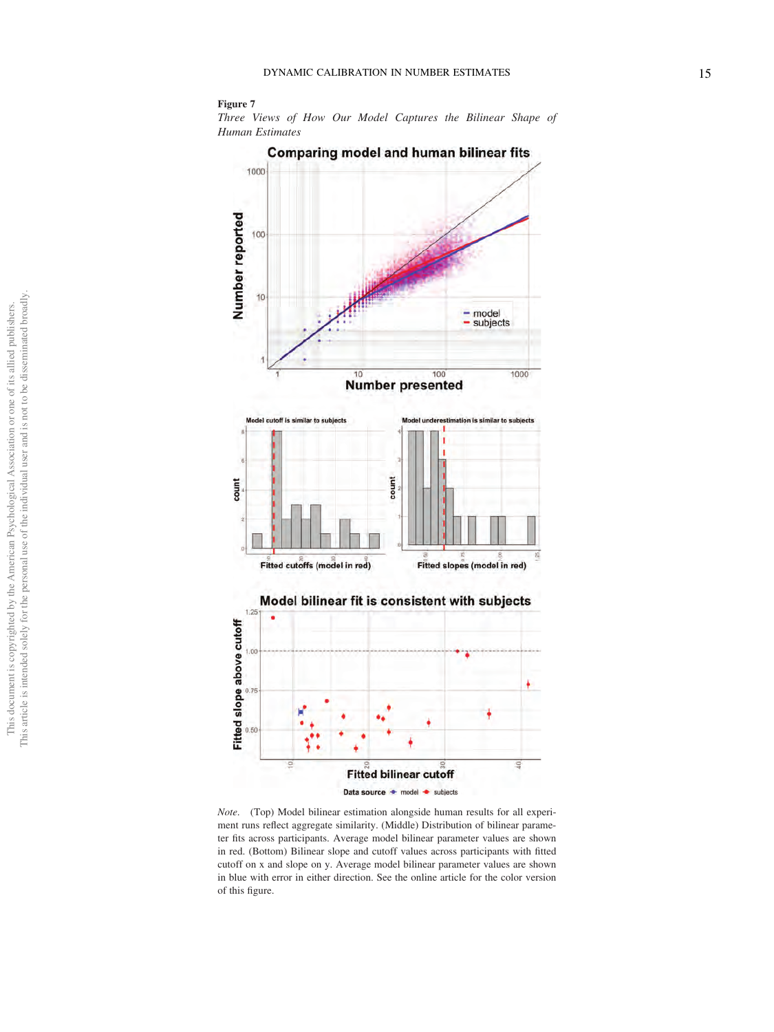#### <span id="page-14-0"></span>Figure 7

Three Views of How Our Model Captures the Bilinear Shape of Human Estimates



Note. (Top) Model bilinear estimation alongside human results for all experiment runs reflect aggregate similarity. (Middle) Distribution of bilinear parameter fits across participants. Average model bilinear parameter values are shown in red. (Bottom) Bilinear slope and cutoff values across participants with fitted cutoff on x and slope on y. Average model bilinear parameter values are shown in blue with error in either direction. See the online article for the color version of this figure.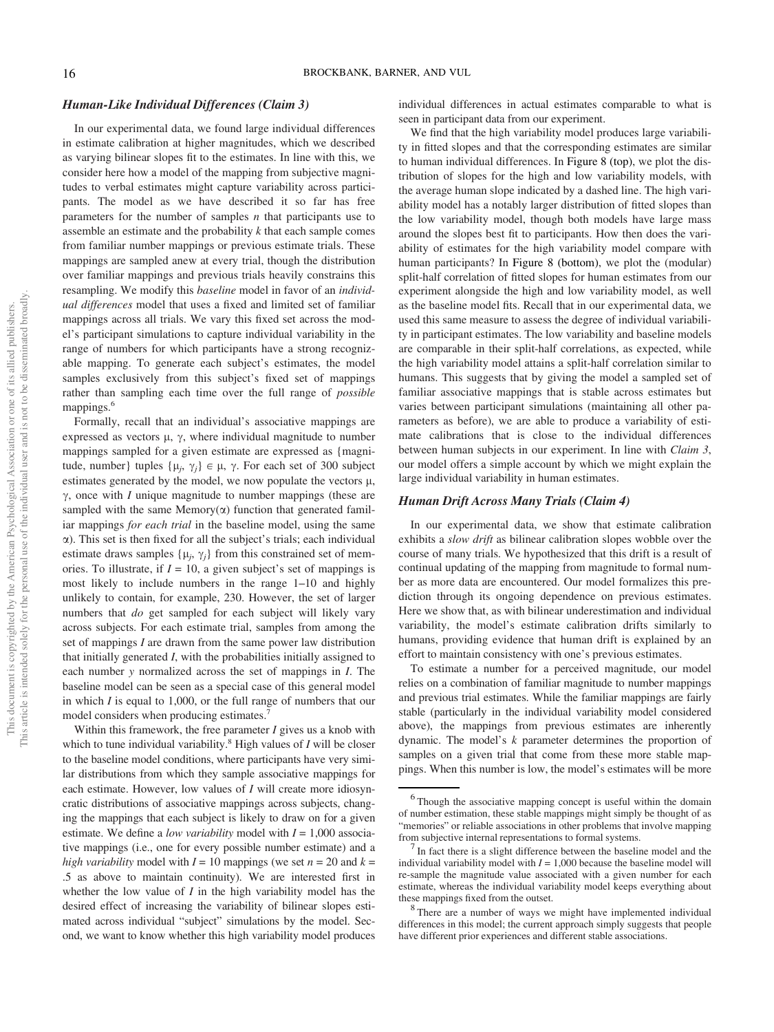## Human-Like Individual Differences (Claim 3)

In our experimental data, we found large individual differences in estimate calibration at higher magnitudes, which we described as varying bilinear slopes fit to the estimates. In line with this, we consider here how a model of the mapping from subjective magnitudes to verbal estimates might capture variability across participants. The model as we have described it so far has free parameters for the number of samples  $n$  that participants use to assemble an estimate and the probability  $k$  that each sample comes from familiar number mappings or previous estimate trials. These mappings are sampled anew at every trial, though the distribution over familiar mappings and previous trials heavily constrains this resampling. We modify this *baseline* model in favor of an *individ*ual differences model that uses a fixed and limited set of familiar mappings across all trials. We vary this fixed set across the model's participant simulations to capture individual variability in the range of numbers for which participants have a strong recognizable mapping. To generate each subject's estimates, the model samples exclusively from this subject's fixed set of mappings rather than sampling each time over the full range of possible mappings.<sup>6</sup>

Formally, recall that an individual's associative mappings are expressed as vectors  $\mu$ ,  $\gamma$ , where individual magnitude to number mappings sampled for a given estimate are expressed as {magnitude, number} tuples  $\{\mu_i, \gamma_i\} \in \mu$ ,  $\gamma$ . For each set of 300 subject estimates generated by the model, we now populate the vectors  $\mu$ ,  $\gamma$ , once with *I* unique magnitude to number mappings (these are sampled with the same Memory $(\alpha)$  function that generated familiar mappings *for each trial* in the baseline model, using the same  $\alpha$ ). This set is then fixed for all the subject's trials; each individual estimate draws samples  $\{\mu_i, \gamma_i\}$  from this constrained set of memories. To illustrate, if  $I = 10$ , a given subject's set of mappings is most likely to include numbers in the range 1–10 and highly unlikely to contain, for example, 230. However, the set of larger numbers that do get sampled for each subject will likely vary across subjects. For each estimate trial, samples from among the set of mappings I are drawn from the same power law distribution that initially generated  $I$ , with the probabilities initially assigned to each number y normalized across the set of mappings in I. The baseline model can be seen as a special case of this general model in which  $I$  is equal to 1,000, or the full range of numbers that our model considers when producing estimates.<sup>[7](#page-15-1)</sup>

Within this framework, the free parameter  $I$  gives us a knob with which to tune individual variability.<sup>8</sup> High values of  $I$  will be closer to the baseline model conditions, where participants have very similar distributions from which they sample associative mappings for each estimate. However, low values of I will create more idiosyncratic distributions of associative mappings across subjects, changing the mappings that each subject is likely to draw on for a given estimate. We define a *low variability* model with  $I = 1,000$  associative mappings (i.e., one for every possible number estimate) and a high variability model with  $I = 10$  mappings (we set  $n = 20$  and  $k =$ .5 as above to maintain continuity). We are interested first in whether the low value of  $I$  in the high variability model has the desired effect of increasing the variability of bilinear slopes estimated across individual "subject" simulations by the model. Second, we want to know whether this high variability model produces individual differences in actual estimates comparable to what is seen in participant data from our experiment.

We find that the high variability model produces large variability in fitted slopes and that the corresponding estimates are similar to human individual differences. In [Figure 8 \(top\)](#page-16-0), we plot the distribution of slopes for the high and low variability models, with the average human slope indicated by a dashed line. The high variability model has a notably larger distribution of fitted slopes than the low variability model, though both models have large mass around the slopes best fit to participants. How then does the variability of estimates for the high variability model compare with human participants? In [Figure 8 \(bottom\)](#page-16-0), we plot the (modular) split-half correlation of fitted slopes for human estimates from our experiment alongside the high and low variability model, as well as the baseline model fits. Recall that in our experimental data, we used this same measure to assess the degree of individual variability in participant estimates. The low variability and baseline models are comparable in their split-half correlations, as expected, while the high variability model attains a split-half correlation similar to humans. This suggests that by giving the model a sampled set of familiar associative mappings that is stable across estimates but varies between participant simulations (maintaining all other parameters as before), we are able to produce a variability of estimate calibrations that is close to the individual differences between human subjects in our experiment. In line with Claim 3, our model offers a simple account by which we might explain the large individual variability in human estimates.

#### Human Drift Across Many Trials (Claim 4)

In our experimental data, we show that estimate calibration exhibits a *slow drift* as bilinear calibration slopes wobble over the course of many trials. We hypothesized that this drift is a result of continual updating of the mapping from magnitude to formal number as more data are encountered. Our model formalizes this prediction through its ongoing dependence on previous estimates. Here we show that, as with bilinear underestimation and individual variability, the model's estimate calibration drifts similarly to humans, providing evidence that human drift is explained by an effort to maintain consistency with one's previous estimates.

To estimate a number for a perceived magnitude, our model relies on a combination of familiar magnitude to number mappings and previous trial estimates. While the familiar mappings are fairly stable (particularly in the individual variability model considered above), the mappings from previous estimates are inherently dynamic. The model's k parameter determines the proportion of samples on a given trial that come from these more stable mappings. When this number is low, the model's estimates will be more

<span id="page-15-0"></span><sup>&</sup>lt;sup>6</sup> Though the associative mapping concept is useful within the domain of number estimation, these stable mappings might simply be thought of as "memories" or reliable associations in other problems that involve mapping from subjective internal representations to formal systems. <sup>7</sup> In fact there is a slight difference between the baseline model and the

<span id="page-15-1"></span>individual variability model with  $I = 1,000$  because the baseline model will re-sample the magnitude value associated with a given number for each estimate, whereas the individual variability model keeps everything about

<span id="page-15-2"></span>these mappings fixed from the outset.<br><sup>8</sup> There are a number of ways we might have implemented individual differences in this model; the current approach simply suggests that people have different prior experiences and different stable associations.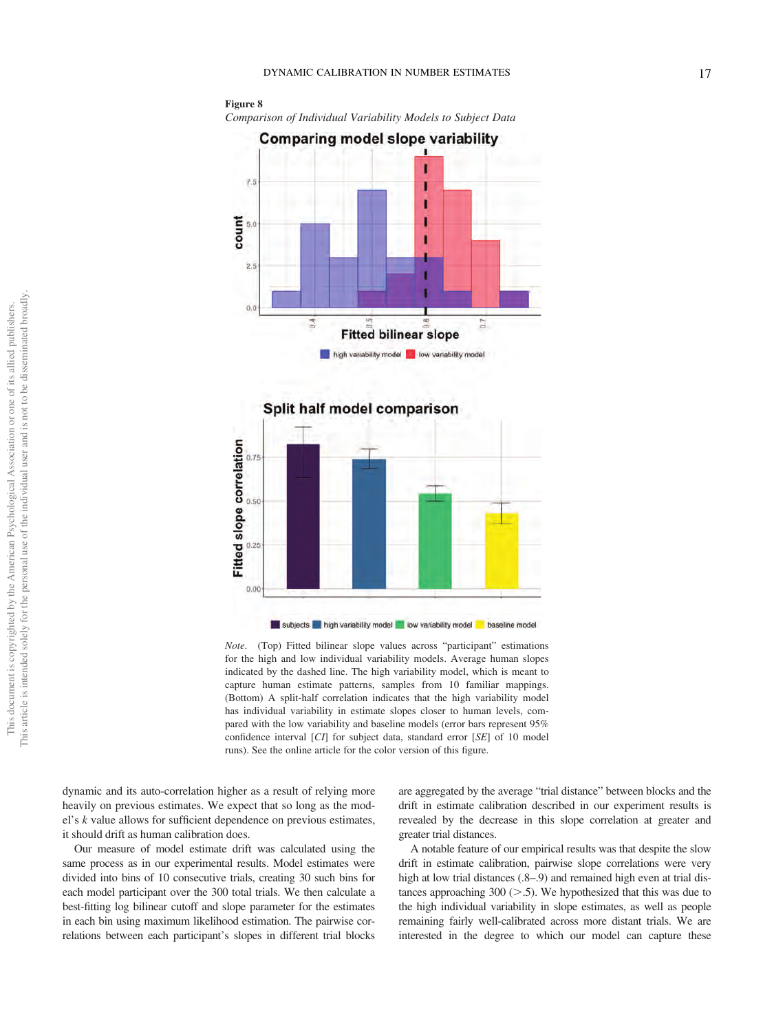<span id="page-16-0"></span>



Note. (Top) Fitted bilinear slope values across "participant" estimations for the high and low individual variability models. Average human slopes indicated by the dashed line. The high variability model, which is meant to capture human estimate patterns, samples from 10 familiar mappings. (Bottom) A split-half correlation indicates that the high variability model has individual variability in estimate slopes closer to human levels, compared with the low variability and baseline models (error bars represent 95% confidence interval [CI] for subject data, standard error [SE] of 10 model runs). See the online article for the color version of this figure.

dynamic and its auto-correlation higher as a result of relying more heavily on previous estimates. We expect that so long as the model's k value allows for sufficient dependence on previous estimates, it should drift as human calibration does.

Our measure of model estimate drift was calculated using the same process as in our experimental results. Model estimates were divided into bins of 10 consecutive trials, creating 30 such bins for each model participant over the 300 total trials. We then calculate a best-fitting log bilinear cutoff and slope parameter for the estimates in each bin using maximum likelihood estimation. The pairwise correlations between each participant's slopes in different trial blocks

are aggregated by the average "trial distance" between blocks and the drift in estimate calibration described in our experiment results is revealed by the decrease in this slope correlation at greater and greater trial distances.

A notable feature of our empirical results was that despite the slow drift in estimate calibration, pairwise slope correlations were very high at low trial distances (.8–.9) and remained high even at trial distances approaching 300  $(> 0.5)$ . We hypothesized that this was due to the high individual variability in slope estimates, as well as people remaining fairly well-calibrated across more distant trials. We are interested in the degree to which our model can capture these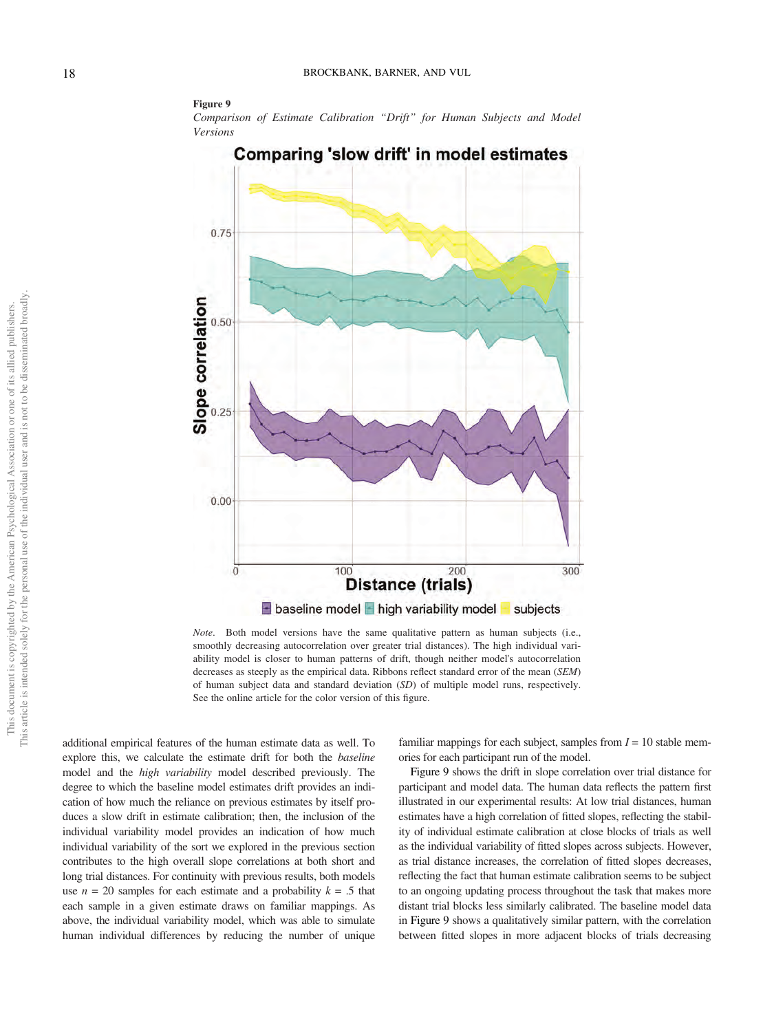#### <span id="page-17-0"></span>Figure 9

Comparison of Estimate Calibration "Drift" for Human Subjects and Model Versions



Note. Both model versions have the same qualitative pattern as human subjects (i.e., smoothly decreasing autocorrelation over greater trial distances). The high individual variability model is closer to human patterns of drift, though neither model's autocorrelation decreases as steeply as the empirical data. Ribbons reflect standard error of the mean (SEM) of human subject data and standard deviation (SD) of multiple model runs, respectively. See the online article for the color version of this figure.

additional empirical features of the human estimate data as well. To explore this, we calculate the estimate drift for both the baseline model and the high variability model described previously. The degree to which the baseline model estimates drift provides an indication of how much the reliance on previous estimates by itself produces a slow drift in estimate calibration; then, the inclusion of the individual variability model provides an indication of how much individual variability of the sort we explored in the previous section contributes to the high overall slope correlations at both short and long trial distances. For continuity with previous results, both models use  $n = 20$  samples for each estimate and a probability  $k = 0.5$  that each sample in a given estimate draws on familiar mappings. As above, the individual variability model, which was able to simulate human individual differences by reducing the number of unique

familiar mappings for each subject, samples from  $I = 10$  stable memories for each participant run of the model.

Figure 9 shows the drift in slope correlation over trial distance for participant and model data. The human data reflects the pattern first illustrated in our experimental results: At low trial distances, human estimates have a high correlation of fitted slopes, reflecting the stability of individual estimate calibration at close blocks of trials as well as the individual variability of fitted slopes across subjects. However, as trial distance increases, the correlation of fitted slopes decreases, reflecting the fact that human estimate calibration seems to be subject to an ongoing updating process throughout the task that makes more distant trial blocks less similarly calibrated. The baseline model data in Figure 9 shows a qualitatively similar pattern, with the correlation between fitted slopes in more adjacent blocks of trials decreasing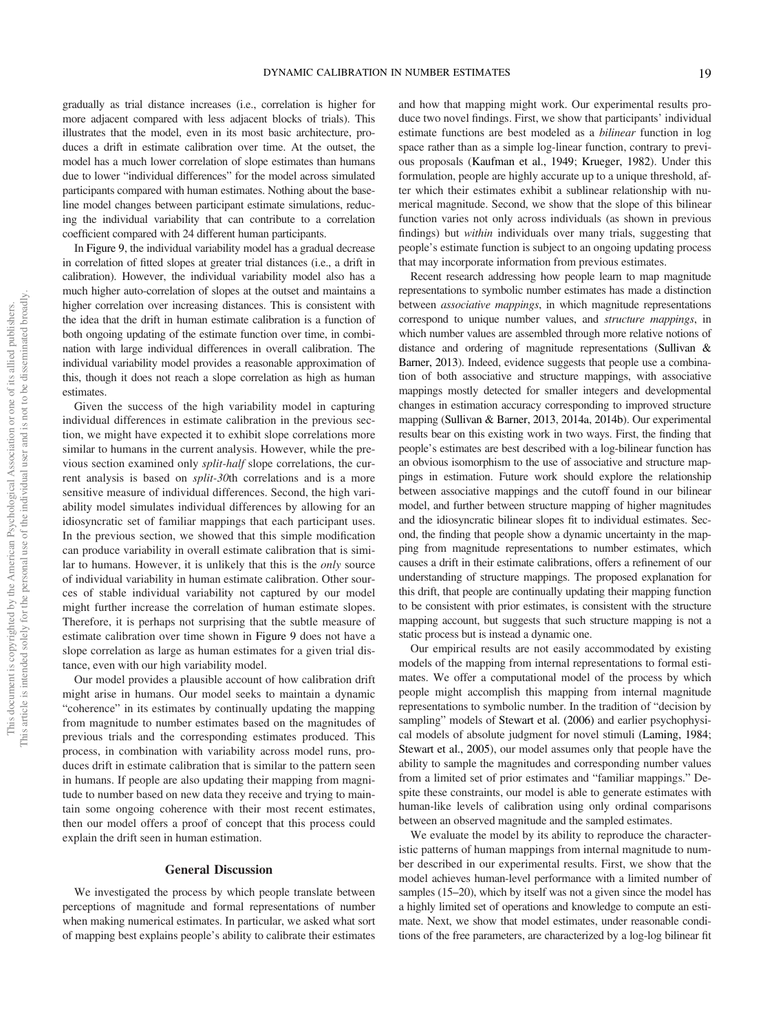gradually as trial distance increases (i.e., correlation is higher for more adjacent compared with less adjacent blocks of trials). This illustrates that the model, even in its most basic architecture, produces a drift in estimate calibration over time. At the outset, the model has a much lower correlation of slope estimates than humans due to lower "individual differences" for the model across simulated participants compared with human estimates. Nothing about the baseline model changes between participant estimate simulations, reducing the individual variability that can contribute to a correlation coefficient compared with 24 different human participants.

In [Figure 9](#page-17-0), the individual variability model has a gradual decrease in correlation of fitted slopes at greater trial distances (i.e., a drift in calibration). However, the individual variability model also has a much higher auto-correlation of slopes at the outset and maintains a higher correlation over increasing distances. This is consistent with the idea that the drift in human estimate calibration is a function of both ongoing updating of the estimate function over time, in combination with large individual differences in overall calibration. The individual variability model provides a reasonable approximation of this, though it does not reach a slope correlation as high as human estimates.

Given the success of the high variability model in capturing individual differences in estimate calibration in the previous section, we might have expected it to exhibit slope correlations more similar to humans in the current analysis. However, while the previous section examined only split-half slope correlations, the current analysis is based on split-30th correlations and is a more sensitive measure of individual differences. Second, the high variability model simulates individual differences by allowing for an idiosyncratic set of familiar mappings that each participant uses. In the previous section, we showed that this simple modification can produce variability in overall estimate calibration that is similar to humans. However, it is unlikely that this is the only source of individual variability in human estimate calibration. Other sources of stable individual variability not captured by our model might further increase the correlation of human estimate slopes. Therefore, it is perhaps not surprising that the subtle measure of estimate calibration over time shown in [Figure 9](#page-17-0) does not have a slope correlation as large as human estimates for a given trial distance, even with our high variability model.

Our model provides a plausible account of how calibration drift might arise in humans. Our model seeks to maintain a dynamic "coherence" in its estimates by continually updating the mapping from magnitude to number estimates based on the magnitudes of previous trials and the corresponding estimates produced. This process, in combination with variability across model runs, produces drift in estimate calibration that is similar to the pattern seen in humans. If people are also updating their mapping from magnitude to number based on new data they receive and trying to maintain some ongoing coherence with their most recent estimates, then our model offers a proof of concept that this process could explain the drift seen in human estimation.

#### General Discussion

We investigated the process by which people translate between perceptions of magnitude and formal representations of number when making numerical estimates. In particular, we asked what sort of mapping best explains people's ability to calibrate their estimates

and how that mapping might work. Our experimental results produce two novel findings. First, we show that participants' individual estimate functions are best modeled as a bilinear function in log space rather than as a simple log-linear function, contrary to previous proposals [\(Kaufman et al., 1949;](#page-21-19) [Krueger, 1982\)](#page-21-23). Under this formulation, people are highly accurate up to a unique threshold, after which their estimates exhibit a sublinear relationship with numerical magnitude. Second, we show that the slope of this bilinear function varies not only across individuals (as shown in previous findings) but *within* individuals over many trials, suggesting that people's estimate function is subject to an ongoing updating process that may incorporate information from previous estimates.

Recent research addressing how people learn to map magnitude representations to symbolic number estimates has made a distinction between associative mappings, in which magnitude representations correspond to unique number values, and structure mappings, in which number values are assembled through more relative notions of distance and ordering of magnitude representations [\(Sullivan &](#page-21-27) [Barner, 2013](#page-21-27)). Indeed, evidence suggests that people use a combination of both associative and structure mappings, with associative mappings mostly detected for smaller integers and developmental changes in estimation accuracy corresponding to improved structure mapping [\(Sullivan & Barner,](#page-21-27) 2013, [2014a](#page-21-32), [2014b](#page-21-36)). Our experimental results bear on this existing work in two ways. First, the finding that people's estimates are best described with a log-bilinear function has an obvious isomorphism to the use of associative and structure mappings in estimation. Future work should explore the relationship between associative mappings and the cutoff found in our bilinear model, and further between structure mapping of higher magnitudes and the idiosyncratic bilinear slopes fit to individual estimates. Second, the finding that people show a dynamic uncertainty in the mapping from magnitude representations to number estimates, which causes a drift in their estimate calibrations, offers a refinement of our understanding of structure mappings. The proposed explanation for this drift, that people are continually updating their mapping function to be consistent with prior estimates, is consistent with the structure mapping account, but suggests that such structure mapping is not a static process but is instead a dynamic one.

Our empirical results are not easily accommodated by existing models of the mapping from internal representations to formal estimates. We offer a computational model of the process by which people might accomplish this mapping from internal magnitude representations to symbolic number. In the tradition of "decision by sampling" models of [Stewart et al. \(2006\)](#page-21-28) and earlier psychophysical models of absolute judgment for novel stimuli [\(Laming, 1984](#page-21-16); [Stewart et al., 2005\)](#page-21-15), our model assumes only that people have the ability to sample the magnitudes and corresponding number values from a limited set of prior estimates and "familiar mappings." Despite these constraints, our model is able to generate estimates with human-like levels of calibration using only ordinal comparisons between an observed magnitude and the sampled estimates.

We evaluate the model by its ability to reproduce the characteristic patterns of human mappings from internal magnitude to number described in our experimental results. First, we show that the model achieves human-level performance with a limited number of samples (15–20), which by itself was not a given since the model has a highly limited set of operations and knowledge to compute an estimate. Next, we show that model estimates, under reasonable conditions of the free parameters, are characterized by a log-log bilinear fit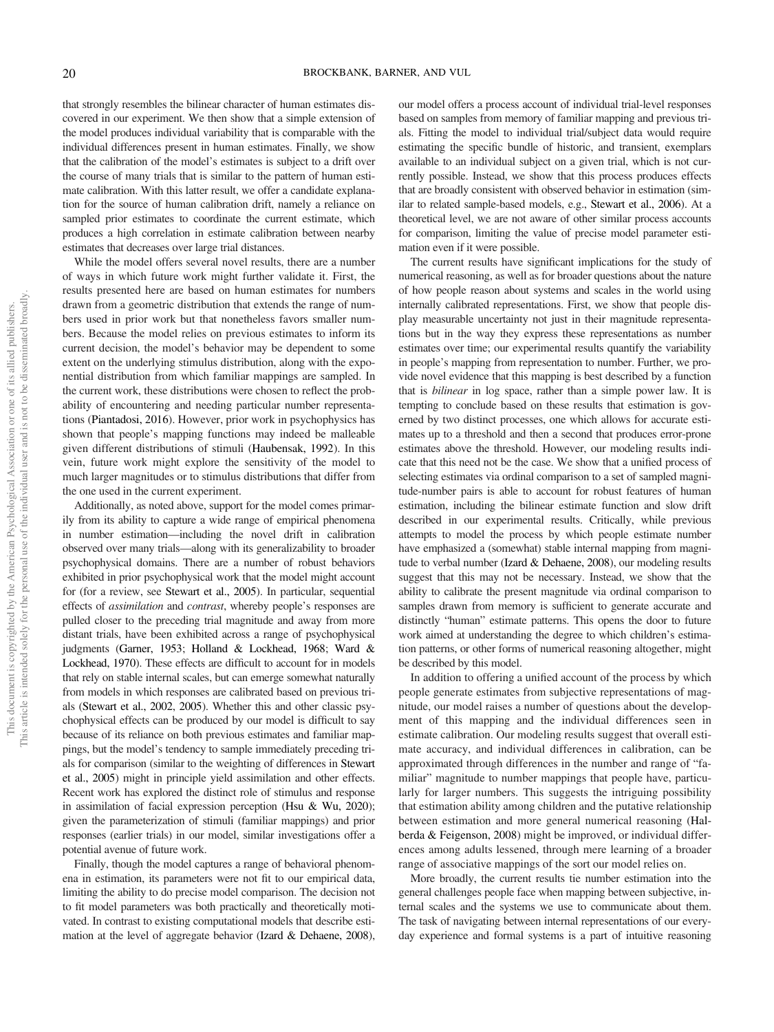that strongly resembles the bilinear character of human estimates discovered in our experiment. We then show that a simple extension of the model produces individual variability that is comparable with the individual differences present in human estimates. Finally, we show that the calibration of the model's estimates is subject to a drift over the course of many trials that is similar to the pattern of human estimate calibration. With this latter result, we offer a candidate explanation for the source of human calibration drift, namely a reliance on sampled prior estimates to coordinate the current estimate, which produces a high correlation in estimate calibration between nearby estimates that decreases over large trial distances.

While the model offers several novel results, there are a number of ways in which future work might further validate it. First, the results presented here are based on human estimates for numbers drawn from a geometric distribution that extends the range of numbers used in prior work but that nonetheless favors smaller numbers. Because the model relies on previous estimates to inform its current decision, the model's behavior may be dependent to some extent on the underlying stimulus distribution, along with the exponential distribution from which familiar mappings are sampled. In the current work, these distributions were chosen to reflect the probability of encountering and needing particular number representations [\(Piantadosi, 2016](#page-21-34)). However, prior work in psychophysics has shown that people's mapping functions may indeed be malleable given different distributions of stimuli [\(Haubensak, 1992\)](#page-21-37). In this vein, future work might explore the sensitivity of the model to much larger magnitudes or to stimulus distributions that differ from the one used in the current experiment.

Additionally, as noted above, support for the model comes primarily from its ability to capture a wide range of empirical phenomena in number estimation—including the novel drift in calibration observed over many trials—along with its generalizability to broader psychophysical domains. There are a number of robust behaviors exhibited in prior psychophysical work that the model might account for (for a review, see [Stewart et al., 2005\)](#page-21-15). In particular, sequential effects of assimilation and contrast, whereby people's responses are pulled closer to the preceding trial magnitude and away from more distant trials, have been exhibited across a range of psychophysical judgments ([Garner, 1953;](#page-20-15) [Holland & Lockhead, 1968;](#page-21-13) [Ward &](#page-22-5) [Lockhead, 1970](#page-22-5)). These effects are difficult to account for in models that rely on stable internal scales, but can emerge somewhat naturally from models in which responses are calibrated based on previous trials [\(Stewart et al., 2002](#page-21-18), [2005](#page-21-15)). Whether this and other classic psychophysical effects can be produced by our model is difficult to say because of its reliance on both previous estimates and familiar mappings, but the model's tendency to sample immediately preceding trials for comparison (similar to the weighting of differences in [Stewart](#page-21-15) [et al., 2005](#page-21-15)) might in principle yield assimilation and other effects. Recent work has explored the distinct role of stimulus and response in assimilation of facial expression perception [\(Hsu & Wu, 2020\)](#page-21-38); given the parameterization of stimuli (familiar mappings) and prior responses (earlier trials) in our model, similar investigations offer a potential avenue of future work.

Finally, though the model captures a range of behavioral phenomena in estimation, its parameters were not fit to our empirical data, limiting the ability to do precise model comparison. The decision not to fit model parameters was both practically and theoretically motivated. In contrast to existing computational models that describe estimation at the level of aggregate behavior ([Izard & Dehaene, 2008\)](#page-21-4),

our model offers a process account of individual trial-level responses based on samples from memory of familiar mapping and previous trials. Fitting the model to individual trial/subject data would require estimating the specific bundle of historic, and transient, exemplars available to an individual subject on a given trial, which is not currently possible. Instead, we show that this process produces effects that are broadly consistent with observed behavior in estimation (similar to related sample-based models, e.g., [Stewart et al., 2006](#page-21-28)). At a theoretical level, we are not aware of other similar process accounts for comparison, limiting the value of precise model parameter estimation even if it were possible.

The current results have significant implications for the study of numerical reasoning, as well as for broader questions about the nature of how people reason about systems and scales in the world using internally calibrated representations. First, we show that people display measurable uncertainty not just in their magnitude representations but in the way they express these representations as number estimates over time; our experimental results quantify the variability in people's mapping from representation to number. Further, we provide novel evidence that this mapping is best described by a function that is bilinear in log space, rather than a simple power law. It is tempting to conclude based on these results that estimation is governed by two distinct processes, one which allows for accurate estimates up to a threshold and then a second that produces error-prone estimates above the threshold. However, our modeling results indicate that this need not be the case. We show that a unified process of selecting estimates via ordinal comparison to a set of sampled magnitude-number pairs is able to account for robust features of human estimation, including the bilinear estimate function and slow drift described in our experimental results. Critically, while previous attempts to model the process by which people estimate number have emphasized a (somewhat) stable internal mapping from magnitude to verbal number [\(Izard & Dehaene, 2008\)](#page-21-4), our modeling results suggest that this may not be necessary. Instead, we show that the ability to calibrate the present magnitude via ordinal comparison to samples drawn from memory is sufficient to generate accurate and distinctly "human" estimate patterns. This opens the door to future work aimed at understanding the degree to which children's estimation patterns, or other forms of numerical reasoning altogether, might be described by this model.

In addition to offering a unified account of the process by which people generate estimates from subjective representations of magnitude, our model raises a number of questions about the development of this mapping and the individual differences seen in estimate calibration. Our modeling results suggest that overall estimate accuracy, and individual differences in calibration, can be approximated through differences in the number and range of "familiar" magnitude to number mappings that people have, particularly for larger numbers. This suggests the intriguing possibility that estimation ability among children and the putative relationship between estimation and more general numerical reasoning [\(Hal](#page-20-26)[berda & Feigenson, 2008\)](#page-20-26) might be improved, or individual differences among adults lessened, through mere learning of a broader range of associative mappings of the sort our model relies on.

More broadly, the current results tie number estimation into the general challenges people face when mapping between subjective, internal scales and the systems we use to communicate about them. The task of navigating between internal representations of our everyday experience and formal systems is a part of intuitive reasoning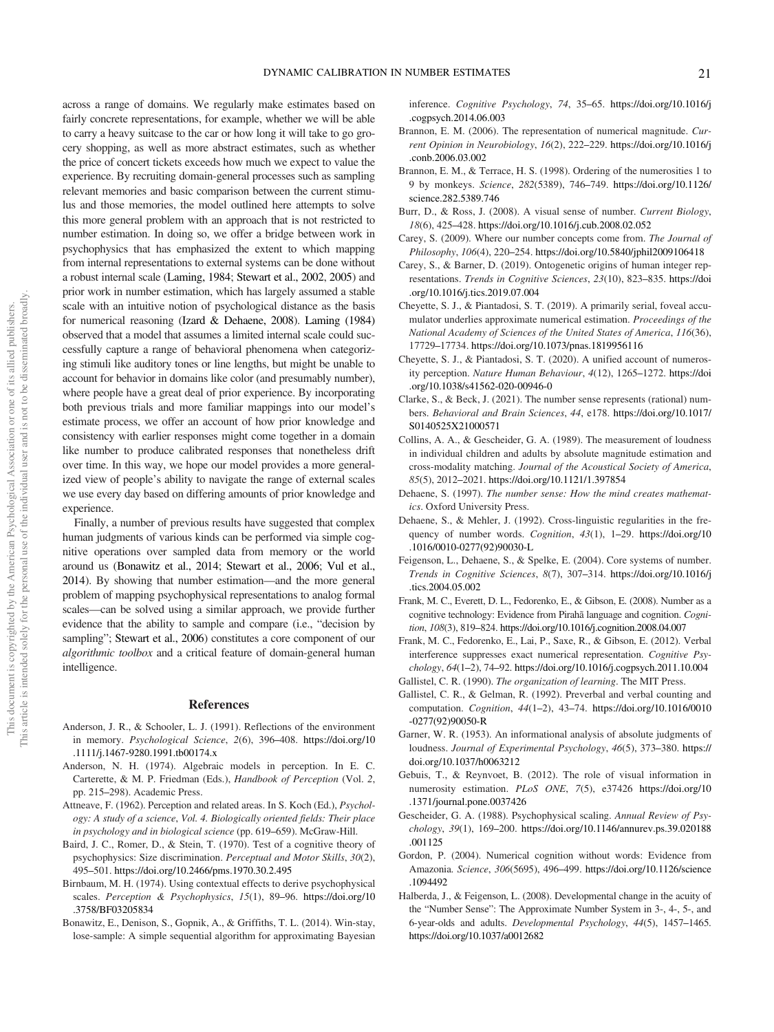across a range of domains. We regularly make estimates based on fairly concrete representations, for example, whether we will be able to carry a heavy suitcase to the car or how long it will take to go grocery shopping, as well as more abstract estimates, such as whether the price of concert tickets exceeds how much we expect to value the experience. By recruiting domain-general processes such as sampling relevant memories and basic comparison between the current stimulus and those memories, the model outlined here attempts to solve this more general problem with an approach that is not restricted to number estimation. In doing so, we offer a bridge between work in psychophysics that has emphasized the extent to which mapping from internal representations to external systems can be done without a robust internal scale [\(Laming, 1984;](#page-21-16) [Stewart et al., 2002](#page-21-18), [2005](#page-21-15)) and prior work in number estimation, which has largely assumed a stable scale with an intuitive notion of psychological distance as the basis for numerical reasoning [\(Izard & Dehaene, 2008](#page-21-4)). [Laming \(1984\)](#page-21-16) observed that a model that assumes a limited internal scale could successfully capture a range of behavioral phenomena when categorizing stimuli like auditory tones or line lengths, but might be unable to account for behavior in domains like color (and presumably number), where people have a great deal of prior experience. By incorporating both previous trials and more familiar mappings into our model's estimate process, we offer an account of how prior knowledge and consistency with earlier responses might come together in a domain like number to produce calibrated responses that nonetheless drift over time. In this way, we hope our model provides a more generalized view of people's ability to navigate the range of external scales we use every day based on differing amounts of prior knowledge and experience.

Finally, a number of previous results have suggested that complex human judgments of various kinds can be performed via simple cognitive operations over sampled data from memory or the world around us ([Bonawitz et al., 2014;](#page-20-22) [Stewart et al., 2006;](#page-21-28) [Vul et al.,](#page-21-33) [2014](#page-21-33)). By showing that number estimation—and the more general problem of mapping psychophysical representations to analog formal scales—can be solved using a similar approach, we provide further evidence that the ability to sample and compare (i.e., "decision by sampling"; [Stewart et al., 2006\)](#page-21-28) constitutes a core component of our algorithmic toolbox and a critical feature of domain-general human intelligence.

#### References

- <span id="page-20-24"></span>Anderson, J. R., & Schooler, L. J. (1991). Reflections of the environment in memory. Psychological Science, 2(6), 396–408. [https://doi.org/10](https://doi.org/10.1111/j.1467-9280.1991.tb00174.x) [.1111/j.1467-9280.1991.tb00174.x](https://doi.org/10.1111/j.1467-9280.1991.tb00174.x)
- <span id="page-20-9"></span>Anderson, N. H. (1974). Algebraic models in perception. In E. C. Carterette, & M. P. Friedman (Eds.), Handbook of Perception (Vol. 2, pp. 215–298). Academic Press.
- <span id="page-20-10"></span>Attneave, F. (1962). Perception and related areas. In S. Koch (Ed.), Psychology: A study of a science, Vol. 4. Biologically oriented fields: Their place in psychology and in biological science (pp. 619–659). McGraw-Hill.
- <span id="page-20-14"></span>Baird, J. C., Romer, D., & Stein, T. (1970). Test of a cognitive theory of psychophysics: Size discrimination. Perceptual and Motor Skills, 30(2), 495–501. <https://doi.org/10.2466/pms.1970.30.2.495>
- <span id="page-20-11"></span>Birnbaum, M. H. (1974). Using contextual effects to derive psychophysical scales. Perception & Psychophysics, 15(1), 89–96. [https://doi.org/10](https://doi.org/10.3758/BF03205834) [.3758/BF03205834](https://doi.org/10.3758/BF03205834)
- <span id="page-20-22"></span>Bonawitz, E., Denison, S., Gopnik, A., & Griffiths, T. L. (2014). Win-stay, lose-sample: A simple sequential algorithm for approximating Bayesian

inference. Cognitive Psychology, 74, 35–65. [https://doi.org/10.1016/j](https://doi.org/10.1016/j.cogpsych.2014.06.003) [.cogpsych.2014.06.003](https://doi.org/10.1016/j.cogpsych.2014.06.003)

- <span id="page-20-0"></span>Brannon, E. M. (2006). The representation of numerical magnitude. Current Opinion in Neurobiology, 16(2), 222–229. [https://doi.org/10.1016/j](https://doi.org/10.1016/j.conb.2006.03.002) [.conb.2006.03.002](https://doi.org/10.1016/j.conb.2006.03.002)
- <span id="page-20-1"></span>Brannon, E. M., & Terrace, H. S. (1998). Ordering of the numerosities 1 to 9 by monkeys. Science, 282(5389), 746–749. [https://doi.org/10.1126/](https://doi.org/10.1126/science.282.5389.746) [science.282.5389.746](https://doi.org/10.1126/science.282.5389.746)
- <span id="page-20-6"></span>Burr, D., & Ross, J. (2008). A visual sense of number. Current Biology, 18(6), 425–428. <https://doi.org/10.1016/j.cub.2008.02.052>
- <span id="page-20-16"></span>Carey, S. (2009). Where our number concepts come from. The Journal of Philosophy, 106(4), 220–254. <https://doi.org/10.5840/jphil2009106418>
- <span id="page-20-5"></span>Carey, S., & Barner, D. (2019). Ontogenetic origins of human integer representations. Trends in Cognitive Sciences, 23(10), 823–835. [https://doi](https://doi.org/10.1016/j.tics.2019.07.004) [.org/10.1016/j.tics.2019.07.004](https://doi.org/10.1016/j.tics.2019.07.004)
- <span id="page-20-18"></span>Cheyette, S. J., & Piantadosi, S. T. (2019). A primarily serial, foveal accumulator underlies approximate numerical estimation. Proceedings of the National Academy of Sciences of the United States of America, 116(36), 17729–17734. <https://doi.org/10.1073/pnas.1819956116>
- <span id="page-20-23"></span>Cheyette, S. J., & Piantadosi, S. T. (2020). A unified account of numerosity perception. Nature Human Behaviour, 4(12), 1265–1272. [https://doi](https://doi.org/10.1038/s41562-020-00946-0) [.org/10.1038/s41562-020-00946-0](https://doi.org/10.1038/s41562-020-00946-0)
- <span id="page-20-8"></span>Clarke, S., & Beck, J. (2021). The number sense represents (rational) numbers. Behavioral and Brain Sciences, 44, e178. [https://doi.org/10.1017/](https://doi.org/10.1017/S0140525X21000571) [S0140525X21000571](https://doi.org/10.1017/S0140525X21000571)
- <span id="page-20-13"></span>Collins, A. A., & Gescheider, G. A. (1989). The measurement of loudness in individual children and adults by absolute magnitude estimation and cross-modality matching. Journal of the Acoustical Society of America, 85(5), 2012–2021. <https://doi.org/10.1121/1.397854>
- <span id="page-20-2"></span>Dehaene, S. (1997). The number sense: How the mind creates mathematics. Oxford University Press.
- <span id="page-20-25"></span>Dehaene, S., & Mehler, J. (1992). Cross-linguistic regularities in the frequency of number words. Cognition, 43(1), 1–29. [https://doi.org/10](https://doi.org/10.1016/0010-0277(92)90030-L) [.1016/0010-0277\(92\)90030-L](https://doi.org/10.1016/0010-0277(92)90030-L)
- <span id="page-20-4"></span>Feigenson, L., Dehaene, S., & Spelke, E. (2004). Core systems of number. Trends in Cognitive Sciences, 8(7), 307–314. [https://doi.org/10.1016/j](https://doi.org/10.1016/j.tics.2004.05.002) [.tics.2004.05.002](https://doi.org/10.1016/j.tics.2004.05.002)
- <span id="page-20-19"></span>Frank, M. C., Everett, D. L., Fedorenko, E., & Gibson, E. (2008). Number as a cognitive technology: Evidence from Pirahã language and cognition. Cognition, 108(3), 819–824. <https://doi.org/10.1016/j.cognition.2008.04.007>
- <span id="page-20-20"></span>Frank, M. C., Fedorenko, E., Lai, P., Saxe, R., & Gibson, E. (2012). Verbal interference suppresses exact numerical representation. Cognitive Psychology, 64(1–2), 74–92. <https://doi.org/10.1016/j.cogpsych.2011.10.004> Gallistel, C. R. (1990). The organization of learning. The MIT Press.
- <span id="page-20-17"></span><span id="page-20-3"></span>Gallistel, C. R., & Gelman, R. (1992). Preverbal and verbal counting and computation. Cognition, 44(1–2), 43–74. [https://doi.org/10.1016/0010](https://doi.org/10.1016/0010-0277(92)90050-R) [-0277\(92\)90050-R](https://doi.org/10.1016/0010-0277(92)90050-R)
- <span id="page-20-15"></span>Garner, W. R. (1953). An informational analysis of absolute judgments of loudness. Journal of Experimental Psychology, 46(5), 373–380. [https://](https://doi.org/10.1037/h0063212) [doi.org/10.1037/h0063212](https://doi.org/10.1037/h0063212)
- <span id="page-20-7"></span>Gebuis, T., & Reynvoet, B. (2012). The role of visual information in numerosity estimation. PLoS ONE, 7(5), e37426 [https://doi.org/10](https://doi.org/10.1371/journal.pone.0037426) [.1371/journal.pone.0037426](https://doi.org/10.1371/journal.pone.0037426)
- <span id="page-20-12"></span>Gescheider, G. A. (1988). Psychophysical scaling. Annual Review of Psychology, 39(1), 169–200. [https://doi.org/10.1146/annurev.ps.39.020188](https://doi.org/10.1146/annurev.ps.39.020188.001125) [.001125](https://doi.org/10.1146/annurev.ps.39.020188.001125)
- <span id="page-20-21"></span>Gordon, P. (2004). Numerical cognition without words: Evidence from Amazonia. Science, 306(5695), 496–499. [https://doi.org/10.1126/science](https://doi.org/10.1126/science.1094492) [.1094492](https://doi.org/10.1126/science.1094492)
- <span id="page-20-26"></span>Halberda, J., & Feigenson, L. (2008). Developmental change in the acuity of the "Number Sense": The Approximate Number System in 3-, 4-, 5-, and 6-year-olds and adults. Developmental Psychology, 44(5), 1457–1465. <https://doi.org/10.1037/a0012682>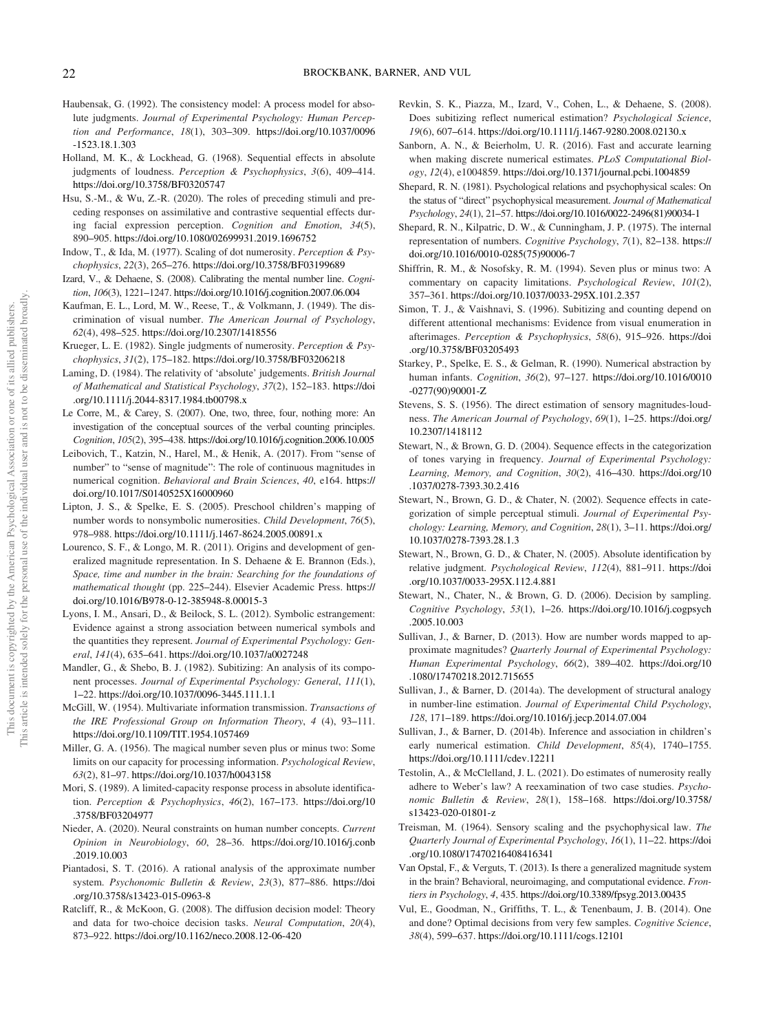- <span id="page-21-37"></span>Haubensak, G. (1992). The consistency model: A process model for absolute judgments. Journal of Experimental Psychology: Human Perception and Performance, 18(1), 303–309. [https://doi.org/10.1037/0096](https://doi.org/10.1037/0096-1523.18.1.303) [-1523.18.1.303](https://doi.org/10.1037/0096-1523.18.1.303)
- <span id="page-21-13"></span>Holland, M. K., & Lockhead, G. (1968). Sequential effects in absolute judgments of loudness. Perception & Psychophysics, 3(6), 409-414. <https://doi.org/10.3758/BF03205747>
- <span id="page-21-38"></span>Hsu, S.-M., & Wu, Z.-R. (2020). The roles of preceding stimuli and preceding responses on assimilative and contrastive sequential effects during facial expression perception. Cognition and Emotion, 34(5), 890–905. <https://doi.org/10.1080/02699931.2019.1696752>
- <span id="page-21-20"></span>Indow, T., & Ida, M. (1977). Scaling of dot numerosity. Perception & Psychophysics, 22(3), 265–276. <https://doi.org/10.3758/BF03199689>
- <span id="page-21-4"></span>Izard, V., & Dehaene, S. (2008). Calibrating the mental number line. Cognition, 106(3), 1221–1247. <https://doi.org/10.1016/j.cognition.2007.06.004>
- <span id="page-21-19"></span>Kaufman, E. L., Lord, M. W., Reese, T., & Volkmann, J. (1949). The discrimination of visual number. The American Journal of Psychology, 62(4), 498–525. <https://doi.org/10.2307/1418556>
- <span id="page-21-23"></span>Krueger, L. E. (1982). Single judgments of numerosity. Perception & Psychophysics, 31(2), 175–182. <https://doi.org/10.3758/BF03206218>
- <span id="page-21-16"></span>Laming, D. (1984). The relativity of 'absolute' judgements. British Journal of Mathematical and Statistical Psychology, 37(2), 152–183. [https://doi](https://doi.org/10.1111/j.2044-8317.1984.tb00798.x) [.org/10.1111/j.2044-8317.1984.tb00798.x](https://doi.org/10.1111/j.2044-8317.1984.tb00798.x)
- <span id="page-21-25"></span>Le Corre, M., & Carey, S. (2007). One, two, three, four, nothing more: An investigation of the conceptual sources of the verbal counting principles. Cognition, 105(2), 395–438. <https://doi.org/10.1016/j.cognition.2006.10.005>
- <span id="page-21-1"></span>Leibovich, T., Katzin, N., Harel, M., & Henik, A. (2017). From "sense of number" to "sense of magnitude": The role of continuous magnitudes in numerical cognition. Behavioral and Brain Sciences, 40, e164. [https://](https://doi.org/10.1017/S0140525X16000960) [doi.org/10.1017/S0140525X16000960](https://doi.org/10.1017/S0140525X16000960)
- <span id="page-21-24"></span>Lipton, J. S., & Spelke, E. S. (2005). Preschool children's mapping of number words to nonsymbolic numerosities. Child Development, 76(5), 978–988. <https://doi.org/10.1111/j.1467-8624.2005.00891.x>
- <span id="page-21-5"></span>Lourenco, S. F., & Longo, M. R. (2011). Origins and development of generalized magnitude representation. In S. Dehaene & E. Brannon (Eds.), Space, time and number in the brain: Searching for the foundations of mathematical thought (pp. 225–244). Elsevier Academic Press. [https://](https://doi.org/10.1016/B978-0-12-385948-8.00015-3) [doi.org/10.1016/B978-0-12-385948-8.00015-3](https://doi.org/10.1016/B978-0-12-385948-8.00015-3)
- <span id="page-21-26"></span>Lyons, I. M., Ansari, D., & Beilock, S. L. (2012). Symbolic estrangement: Evidence against a strong association between numerical symbols and the quantities they represent. Journal of Experimental Psychology: General, 141(4), 635–641. <https://doi.org/10.1037/a0027248>
- <span id="page-21-29"></span>Mandler, G., & Shebo, B. J. (1982). Subitizing: An analysis of its component processes. Journal of Experimental Psychology: General, 111(1), 1–22. <https://doi.org/10.1037/0096-3445.111.1.1>
- <span id="page-21-12"></span>McGill, W. (1954). Multivariate information transmission. Transactions of the IRE Professional Group on Information Theory, 4 (4), 93–111. <https://doi.org/10.1109/TIT.1954.1057469>
- <span id="page-21-10"></span>Miller, G. A. (1956). The magical number seven plus or minus two: Some limits on our capacity for processing information. Psychological Review, 63(2), 81–97. <https://doi.org/10.1037/h0043158>
- <span id="page-21-14"></span>Mori, S. (1989). A limited-capacity response process in absolute identification. Perception & Psychophysics, 46(2), 167–173. [https://doi.org/10](https://doi.org/10.3758/BF03204977) [.3758/BF03204977](https://doi.org/10.3758/BF03204977)
- <span id="page-21-3"></span>Nieder, A. (2020). Neural constraints on human number concepts. Current Opinion in Neurobiology, 60, 28–36. [https://doi.org/10.1016/j.conb](https://doi.org/10.1016/j.conb.2019.10.003) [.2019.10.003](https://doi.org/10.1016/j.conb.2019.10.003)
- <span id="page-21-34"></span>Piantadosi, S. T. (2016). A rational analysis of the approximate number system. Psychonomic Bulletin & Review, 23(3), 877–886. [https://doi](https://doi.org/10.3758/s13423-015-0963-8) [.org/10.3758/s13423-015-0963-8](https://doi.org/10.3758/s13423-015-0963-8)
- <span id="page-21-30"></span>Ratcliff, R., & McKoon, G. (2008). The diffusion decision model: Theory and data for two-choice decision tasks. Neural Computation, 20(4), 873–922. <https://doi.org/10.1162/neco.2008.12-06-420>
- <span id="page-21-31"></span>Revkin, S. K., Piazza, M., Izard, V., Cohen, L., & Dehaene, S. (2008). Does subitizing reflect numerical estimation? *Psychological Science*, 19(6), 607–614. <https://doi.org/10.1111/j.1467-9280.2008.02130.x>
- <span id="page-21-35"></span>Sanborn, A. N., & Beierholm, U. R. (2016). Fast and accurate learning when making discrete numerical estimates. PLoS Computational Biology, 12(4), e1004859. <https://doi.org/10.1371/journal.pcbi.1004859>
- <span id="page-21-8"></span>Shepard, R. N. (1981). Psychological relations and psychophysical scales: On the status of "direct" psychophysical measurement. Journal of Mathematical Psychology, 24(1), 21–57. [https://doi.org/10.1016/0022-2496\(81\)90034-1](https://doi.org/10.1016/0022-2496(81)90034-1)
- <span id="page-21-21"></span>Shepard, R. N., Kilpatric, D. W., & Cunningham, J. P. (1975). The internal representation of numbers. Cognitive Psychology, 7(1), 82–138. [https://](https://doi.org/10.1016/0010-0285(75)90006-7) [doi.org/10.1016/0010-0285\(75\)90006-7](https://doi.org/10.1016/0010-0285(75)90006-7)
- <span id="page-21-11"></span>Shiffrin, R. M., & Nosofsky, R. M. (1994). Seven plus or minus two: A commentary on capacity limitations. Psychological Review, 101(2), 357–361. <https://doi.org/10.1037/0033-295X.101.2.357>
- <span id="page-21-0"></span>Simon, T. J., & Vaishnavi, S. (1996). Subitizing and counting depend on different attentional mechanisms: Evidence from visual enumeration in afterimages. Perception & Psychophysics, 58(6), 915–926. [https://doi](https://doi.org/10.3758/BF03205493) [.org/10.3758/BF03205493](https://doi.org/10.3758/BF03205493)
- <span id="page-21-2"></span>Starkey, P., Spelke, E. S., & Gelman, R. (1990). Numerical abstraction by human infants. Cognition, 36(2), 97–127. [https://doi.org/10.1016/0010](https://doi.org/10.1016/0010-0277(90)90001-Z) [-0277\(90\)90001-Z](https://doi.org/10.1016/0010-0277(90)90001-Z)
- <span id="page-21-7"></span>Stevens, S. S. (1956). The direct estimation of sensory magnitudes-loudness. The American Journal of Psychology, 69(1), 1–25. [https://doi.org/](https://doi.org/10.2307/1418112) [10.2307/1418112](https://doi.org/10.2307/1418112)
- <span id="page-21-17"></span>Stewart, N., & Brown, G. D. (2004). Sequence effects in the categorization of tones varying in frequency. Journal of Experimental Psychology: Learning, Memory, and Cognition, 30(2), 416–430. [https://doi.org/10](https://doi.org/10.1037/0278-7393.30.2.416) [.1037/0278-7393.30.2.416](https://doi.org/10.1037/0278-7393.30.2.416)
- <span id="page-21-18"></span>Stewart, N., Brown, G. D., & Chater, N. (2002). Sequence effects in categorization of simple perceptual stimuli. Journal of Experimental Psychology: Learning, Memory, and Cognition, 28(1), 3–11. [https://doi.org/](https://doi.org/10.1037/0278-7393.28.1.3) [10.1037/0278-7393.28.1.3](https://doi.org/10.1037/0278-7393.28.1.3)
- <span id="page-21-15"></span>Stewart, N., Brown, G. D., & Chater, N. (2005). Absolute identification by relative judgment. Psychological Review, 112(4), 881–911. [https://doi](https://doi.org/10.1037/0033-295X.112.4.881) [.org/10.1037/0033-295X.112.4.881](https://doi.org/10.1037/0033-295X.112.4.881)
- <span id="page-21-28"></span>Stewart, N., Chater, N., & Brown, G. D. (2006). Decision by sampling. Cognitive Psychology, 53(1), 1–26. [https://doi.org/10.1016/j.cogpsych](https://doi.org/10.1016/j.cogpsych.2005.10.003) [.2005.10.003](https://doi.org/10.1016/j.cogpsych.2005.10.003)
- <span id="page-21-27"></span>Sullivan, J., & Barner, D. (2013). How are number words mapped to approximate magnitudes? Quarterly Journal of Experimental Psychology: Human Experimental Psychology, 66(2), 389–402. [https://doi.org/10](https://doi.org/10.1080/17470218.2012.715655) [.1080/17470218.2012.715655](https://doi.org/10.1080/17470218.2012.715655)
- <span id="page-21-32"></span>Sullivan, J., & Barner, D. (2014a). The development of structural analogy in number-line estimation. Journal of Experimental Child Psychology, 128, 171–189. <https://doi.org/10.1016/j.jecp.2014.07.004>
- <span id="page-21-36"></span>Sullivan, J., & Barner, D. (2014b). Inference and association in children's early numerical estimation. Child Development, 85(4), 1740-1755. <https://doi.org/10.1111/cdev.12211>
- <span id="page-21-22"></span>Testolin, A., & McClelland, J. L. (2021). Do estimates of numerosity really adhere to Weber's law? A reexamination of two case studies. Psychonomic Bulletin & Review, 28(1), 158–168. [https://doi.org/10.3758/](https://doi.org/10.3758/s13423-020-01801-z) [s13423-020-01801-z](https://doi.org/10.3758/s13423-020-01801-z)
- <span id="page-21-9"></span>Treisman, M. (1964). Sensory scaling and the psychophysical law. The Quarterly Journal of Experimental Psychology, 16(1), 11–22. [https://doi](https://doi.org/10.1080/17470216408416341) [.org/10.1080/17470216408416341](https://doi.org/10.1080/17470216408416341)
- <span id="page-21-6"></span>Van Opstal, F., & Verguts, T. (2013). Is there a generalized magnitude system in the brain? Behavioral, neuroimaging, and computational evidence. Frontiers in Psychology, 4, 435. <https://doi.org/10.3389/fpsyg.2013.00435>
- <span id="page-21-33"></span>Vul, E., Goodman, N., Griffiths, T. L., & Tenenbaum, J. B. (2014). One and done? Optimal decisions from very few samples. Cognitive Science, 38(4), 599–637. <https://doi.org/10.1111/cogs.12101>